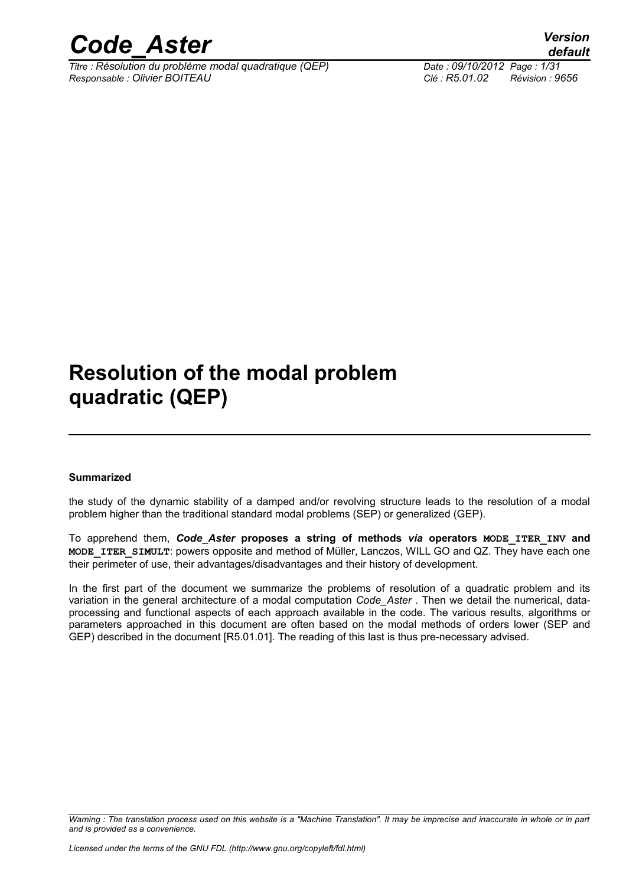

*Titre : Résolution du problème modal quadratique (QEP) Date : 09/10/2012 Page : 1/31 Responsable : Olivier BOITEAU Clé : R5.01.02 Révision : 9656*

## **Resolution of the modal problem quadratic (QEP)**

#### **Summarized**

the study of the dynamic stability of a damped and/or revolving structure leads to the resolution of a modal problem higher than the traditional standard modal problems (SEP) or generalized (GEP).

To apprehend them, *Code\_Aster* **proposes a string of methods** *via* **operators MODE\_ITER\_INV and MODE\_ITER\_SIMULT**: powers opposite and method of Müller, Lanczos, WILL GO and QZ. They have each one their perimeter of use, their advantages/disadvantages and their history of development.

In the first part of the document we summarize the problems of resolution of a quadratic problem and its variation in the general architecture of a modal computation *Code\_Aster* . Then we detail the numerical, dataprocessing and functional aspects of each approach available in the code. The various results, algorithms or parameters approached in this document are often based on the modal methods of orders lower (SEP and GEP) described in the document [R5.01.01]. The reading of this last is thus pre-necessary advised.

*Warning : The translation process used on this website is a "Machine Translation". It may be imprecise and inaccurate in whole or in part and is provided as a convenience.*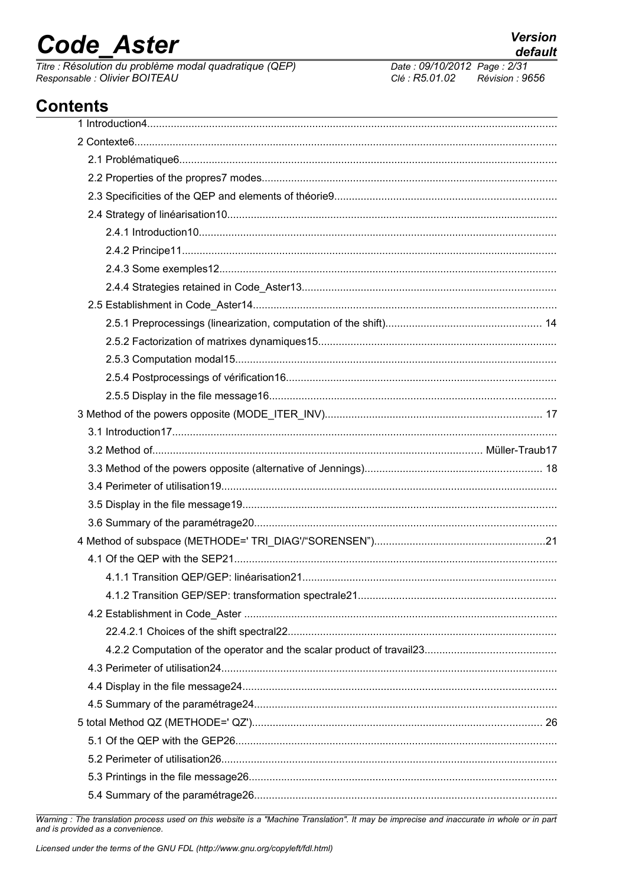# **Code Aster**

Titre : Résolution du problème modal quadratique (QEP) Responsable : Olivier BOITEAU

### **Contents**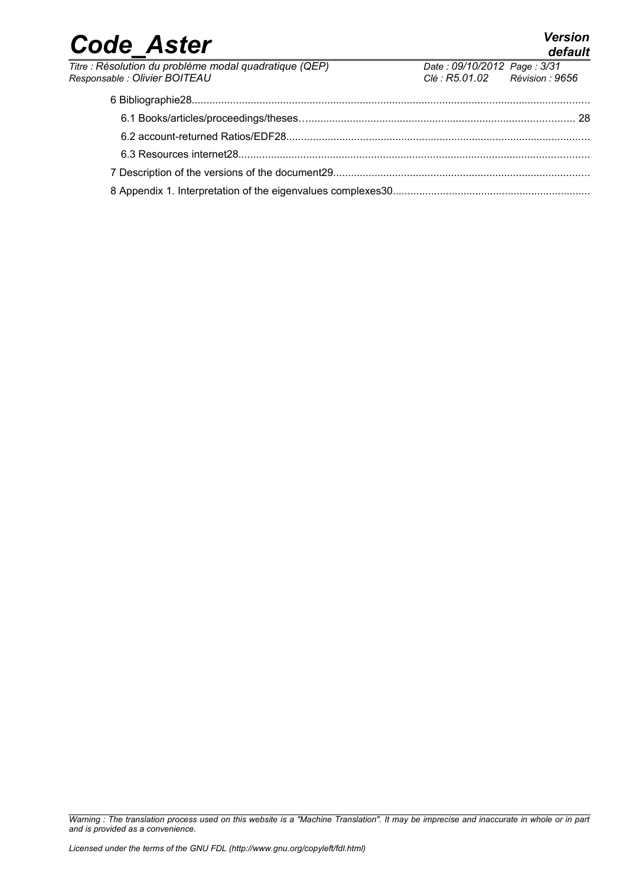| Titre : Résolution du problème modal quadratique (QEP) | Date: 09/10/2012 Page: 3/31    |  |
|--------------------------------------------------------|--------------------------------|--|
| Responsable : Olivier BOITEAU                          | Clé : R5.01.02 Révision : 9656 |  |
|                                                        |                                |  |
|                                                        |                                |  |
|                                                        |                                |  |
|                                                        |                                |  |
|                                                        |                                |  |
|                                                        |                                |  |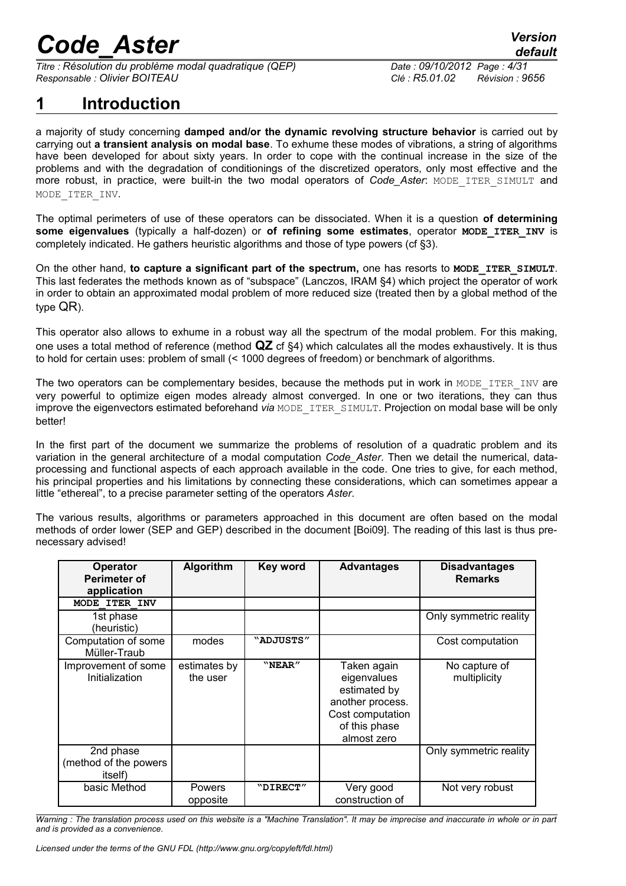*Titre : Résolution du problème modal quadratique (QEP) Date : 09/10/2012 Page : 4/31 Responsable : Olivier BOITEAU Clé : R5.01.02 Révision : 9656*

### **1 Introduction**

a majority of study concerning **damped and/or the dynamic revolving structure behavior** is carried out by carrying out **a transient analysis on modal base**. To exhume these modes of vibrations, a string of algorithms have been developed for about sixty years. In order to cope with the continual increase in the size of the problems and with the degradation of conditionings of the discretized operators, only most effective and the more robust, in practice, were built-in the two modal operators of *Code\_Aster*: MODE\_ITER\_SIMULT and MODE\_ITER\_INV.

The optimal perimeters of use of these operators can be dissociated. When it is a question **of determining some eigenvalues** (typically a half-dozen) or **of refining some estimates**, operator **MODE\_ITER\_INV** is completely indicated. He gathers heuristic algorithms and those of type powers (cf §3).

On the other hand, **to capture a significant part of the spectrum,** one has resorts to **MODE\_ITER\_SIMULT**. This last federates the methods known as of "subspace" (Lanczos, IRAM §4) which project the operator of work in order to obtain an approximated modal problem of more reduced size (treated then by a global method of the type QR).

This operator also allows to exhume in a robust way all the spectrum of the modal problem. For this making, one uses a total method of reference (method **QZ** cf §4) which calculates all the modes exhaustively. It is thus to hold for certain uses: problem of small (< 1000 degrees of freedom) or benchmark of algorithms.

The two operators can be complementary besides, because the methods put in work in MODE\_ITER\_INV are very powerful to optimize eigen modes already almost converged. In one or two iterations, they can thus improve the eigenvectors estimated beforehand *via* MODE\_ITER\_SIMULT. Projection on modal base will be only better!

In the first part of the document we summarize the problems of resolution of a quadratic problem and its variation in the general architecture of a modal computation *Code\_Aster*. Then we detail the numerical, dataprocessing and functional aspects of each approach available in the code. One tries to give, for each method, his principal properties and his limitations by connecting these considerations, which can sometimes appear a little "ethereal", to a precise parameter setting of the operators *Aster*.

The various results, algorithms or parameters approached in this document are often based on the modal methods of order lower (SEP and GEP) described in the document [Boi09]. The reading of this last is thus prenecessary advised!

| Operator<br><b>Perimeter of</b><br>application | Algorithm                | <b>Key word</b> | <b>Advantages</b>                                                                                                  | <b>Disadvantages</b><br><b>Remarks</b> |
|------------------------------------------------|--------------------------|-----------------|--------------------------------------------------------------------------------------------------------------------|----------------------------------------|
| MODE ITER INV                                  |                          |                 |                                                                                                                    |                                        |
| 1st phase<br>(heuristic)                       |                          |                 |                                                                                                                    | Only symmetric reality                 |
| Computation of some<br>Müller-Traub            | modes                    | "ADJUSTS"       |                                                                                                                    | Cost computation                       |
| Improvement of some<br>Initialization          | estimates by<br>the user | "NEAR"          | Taken again<br>eigenvalues<br>estimated by<br>another process.<br>Cost computation<br>of this phase<br>almost zero | No capture of<br>multiplicity          |
| 2nd phase<br>(method of the powers<br>itself)  |                          |                 |                                                                                                                    | Only symmetric reality                 |
| basic Method                                   | Powers<br>opposite       | "DIRECT"        | Very good<br>construction of                                                                                       | Not very robust                        |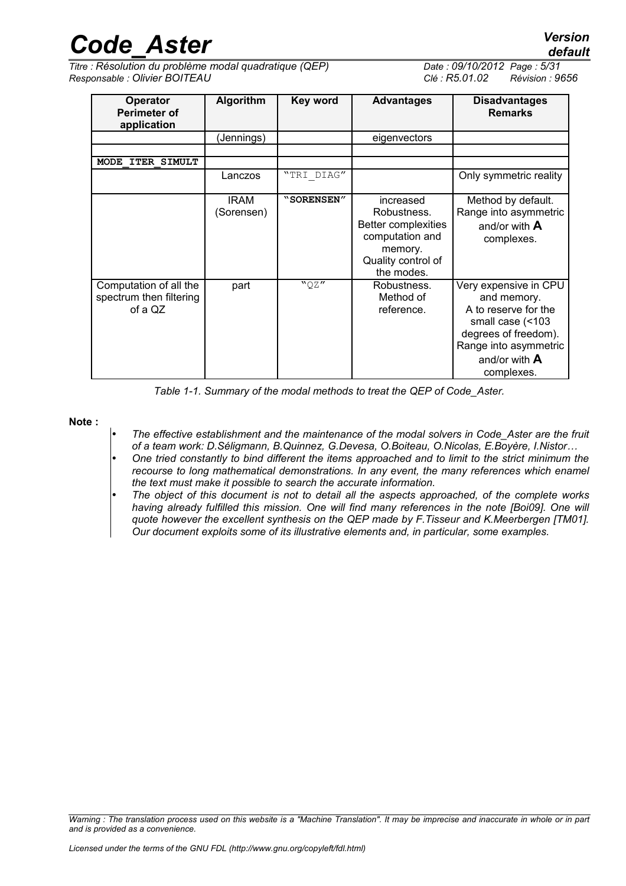*Titre : Résolution du problème modal quadratique (QEP) Date : 09/10/2012 Page : 5/31 Responsable : Olivier BOITEAU Clé : R5.01.02 Révision : 9656*

| Operator<br><b>Perimeter of</b><br>application               | Algorithm                 | Key word   | <b>Advantages</b>                                                                                                        | <b>Disadvantages</b><br><b>Remarks</b>                                                                                                                             |
|--------------------------------------------------------------|---------------------------|------------|--------------------------------------------------------------------------------------------------------------------------|--------------------------------------------------------------------------------------------------------------------------------------------------------------------|
|                                                              | (Jennings)                |            | eigenvectors                                                                                                             |                                                                                                                                                                    |
|                                                              |                           |            |                                                                                                                          |                                                                                                                                                                    |
| <b>ITER SIMULT</b><br><b>MODE</b>                            |                           |            |                                                                                                                          |                                                                                                                                                                    |
|                                                              | Lanczos                   | "TRI DIAG" |                                                                                                                          | Only symmetric reality                                                                                                                                             |
|                                                              | <b>IRAM</b><br>(Sorensen) | "SORENSEN" | increased<br>Robustness.<br><b>Better complexities</b><br>computation and<br>memory.<br>Quality control of<br>the modes. | Method by default.<br>Range into asymmetric<br>and/or with $A$<br>complexes.                                                                                       |
| Computation of all the<br>spectrum then filtering<br>of a QZ | part                      | "QZ"       | Robustness.<br>Method of<br>reference.                                                                                   | Very expensive in CPU<br>and memory.<br>A to reserve for the<br>small case (<103<br>degrees of freedom).<br>Range into asymmetric<br>and/or with $A$<br>complexes. |

*Table 1-1. Summary of the modal methods to treat the QEP of Code\_Aster.*

**Note :**

- *The effective establishment and the maintenance of the modal solvers in Code\_Aster are the fruit of a team work: D.Séligmann, B.Quinnez, G.Devesa, O.Boiteau, O.Nicolas, E.Boyère, I.Nistor…*
- *One tried constantly to bind different the items approached and to limit to the strict minimum the recourse to long mathematical demonstrations. In any event, the many references which enamel the text must make it possible to search the accurate information.*
- *The object of this document is not to detail all the aspects approached, of the complete works having already fulfilled this mission. One will find many references in the note [Boi09]. One will quote however the excellent synthesis on the QEP made by F.Tisseur and K.Meerbergen [TM01]. Our document exploits some of its illustrative elements and, in particular, some examples.*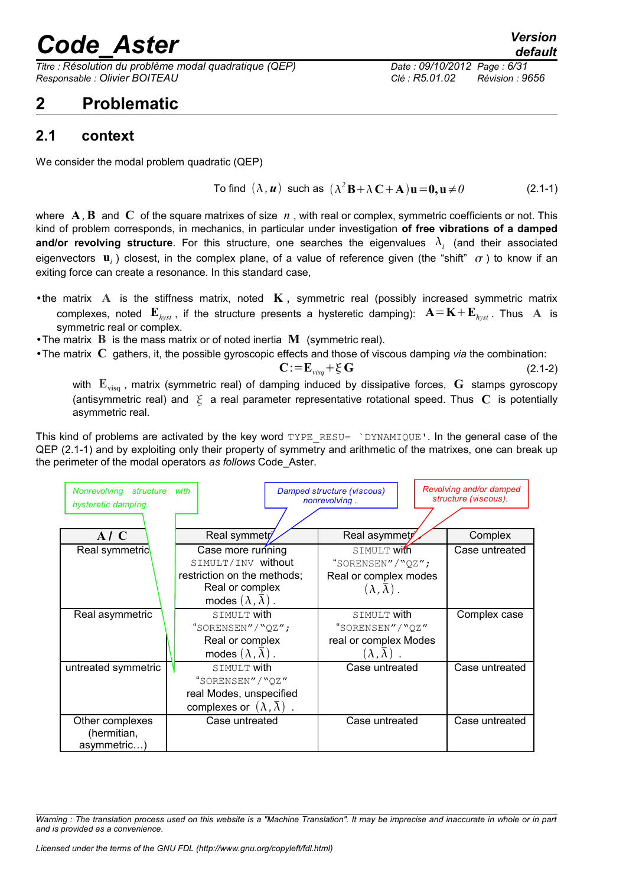*Titre : Résolution du problème modal quadratique (QEP) Date : 09/10/2012 Page : 6/31 Responsable : Olivier BOITEAU Clé : R5.01.02 Révision : 9656*

### **2 Problematic**

### **2.1 context**

We consider the modal problem quadratic (QEP)

To find 
$$
(\lambda, u)
$$
 such as  $(\lambda^2 B + \lambda C + A)u = 0, u \neq 0$  (2.1-1)

where  $\bf{A}$ ,  $\bf{B}$  and  $\bf{C}$  of the square matrixes of size  $\bf{n}$ , with real or complex, symmetric coefficients or not. This kind of problem corresponds, in mechanics, in particular under investigation **of free vibrations of a damped and/or revolving structure**. For this structure, one searches the eigenvalues  $\lambda_i$  (and their associated eigenvectors  $\mathbf{u}_i$ ) closest, in the complex plane, of a value of reference given (the "shift"  $\sigma$ ) to know if an exiting force can create a resonance. In this standard case,

- •the matrix **A** is the stiffness matrix, noted **K** , symmetric real (possibly increased symmetric matrix complexes, noted  $\mathbf{E}_{hyst}$ , if the structure presents a hysteretic damping):  $\mathbf{A} = \mathbf{K} + \mathbf{E}_{hyst}$ . Thus  $\mathbf{A}$  is symmetric real or complex.
- •The matrix **B** is the mass matrix or of noted inertia **M** (symmetric real).
- •The matrix **C** gathers, it, the possible gyroscopic effects and those of viscous damping *via* the combination:

$$
\mathbf{C} := \mathbf{E}_{\text{visg}} + \xi \mathbf{G} \tag{2.1-2}
$$

with **Evisq** , matrix (symmetric real) of damping induced by dissipative forces, **G** stamps gyroscopy (antisymmetric real) and  $\xi$  a real parameter representative rotational speed. Thus  $C$  is potentially asymmetric real.

This kind of problems are activated by the key word TYPE\_RESU= `DYNAMIQUE'. In the general case of the QEP (2.1-1) and by exploiting only their property of symmetry and arithmetic of the matrixes, one can break up the perimeter of the modal operators *as follows* Code\_Aster.

| Nonrevolving structure<br>hysteretic damping. | with                                                                                                        | Damped structure (viscous)<br>nonrevolving.                | Revolving and/or damped<br>structure (viscous). |
|-----------------------------------------------|-------------------------------------------------------------------------------------------------------------|------------------------------------------------------------|-------------------------------------------------|
| A/C                                           | Real symmetr                                                                                                | Real asymmety                                              | Complex                                         |
| Real symmetric                                | Case more running<br>SIMULT/INV without                                                                     | SIMULT With<br>"SORENSEN"/"QZ";                            | Case untreated                                  |
|                                               | restriction on the methods;<br>Real or complex<br>modes $(\lambda, \overline{\lambda})$ .                   | Real or complex modes<br>$(\lambda, \overline{\lambda})$ . |                                                 |
| Real asymmetric                               | SIMULT with<br>"SORENSEN"/"QZ";                                                                             | SIMULT with<br>"SORENSEN"/"QZ"                             | Complex case                                    |
|                                               | Real or complex<br>modes $(\lambda, \overline{\lambda})$ .                                                  | real or complex Modes<br>$(\lambda,\overline{\lambda})$ .  |                                                 |
| untreated symmetric                           | SIMULT with<br>"SORENSEN"/"QZ"<br>real Modes, unspecified<br>complexes or $(\lambda, \overline{\lambda})$ . | Case untreated                                             | Case untreated                                  |
| Other complexes<br>(hermitian,<br>asymmetric) | Case untreated                                                                                              | Case untreated                                             | Case untreated                                  |

*Warning : The translation process used on this website is a "Machine Translation". It may be imprecise and inaccurate in whole or in part and is provided as a convenience.*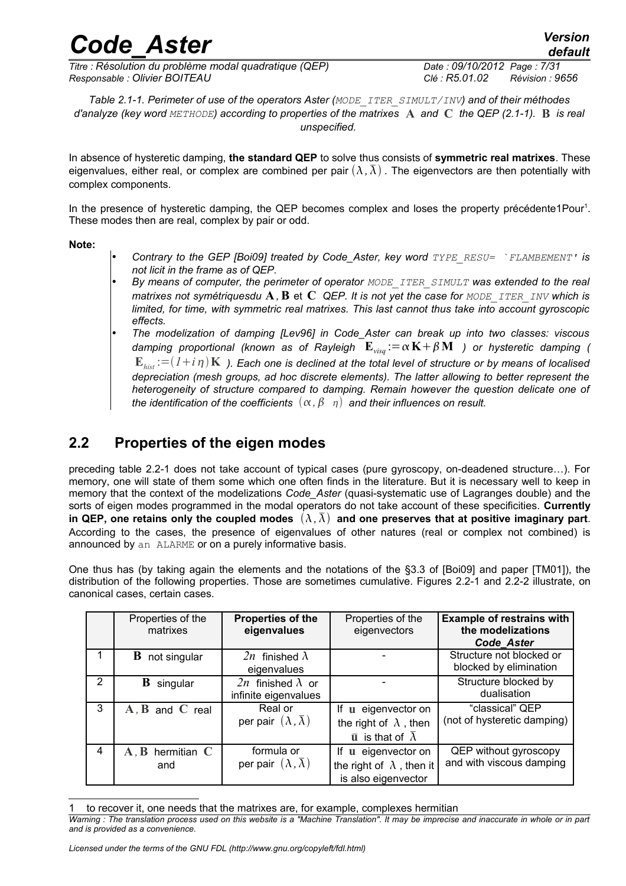*Titre : Résolution du problème modal quadratique (QEP) Date : 09/10/2012 Page : 7/31 Responsable : Olivier BOITEAU Clé : R5.01.02 Révision : 9656*

*Table 2.1-1. Perimeter of use of the operators Aster (MODE\_ITER\_SIMULT/INV) and of their méthodes d'analyze (key word METHODE) according to properties of the matrixes* **A** *and* **C** *the QEP (2.1-1).* **B** *is real unspecified.*

In absence of hysteretic damping, **the standard QEP** to solve thus consists of **symmetric real matrixes**. These eigenvalues, either real, or complex are combined per pair  $(\lambda, \overline{\lambda})$ . The eigenvectors are then potentially with complex components.

In the presence of hysteretic damping, the QEP becomes complex and loses the property précédente[1](#page-6-0)Pour<sup>1</sup>. These modes then are real, complex by pair or odd.

**Note:**

- *Contrary to the GEP [Boi09] treated by Code\_Aster, key word TYPE\_RESU= `FLAMBEMENT' is not licit in the frame as of QEP.*
- *By means of computer, the perimeter of operator MODE\_ITER\_SIMULT was extended to the real matrixes not symétriquesdu* **A** *,***B** et **C** *QEP. It is not yet the case for MODE\_ITER\_INV which is limited, for time, with symmetric real matrixes. This last cannot thus take into account gyroscopic effects.*
- *The modelization of damping [Lev96] in Code\_Aster can break up into two classes: viscous damping proportional (known as of Rayleigh*  $\mathbf{E}_{vis} := \alpha \mathbf{K} + \beta \mathbf{M}$  ) or hysteretic damping (  $\mathbf{E}_{hist} := (I + i\eta)\mathbf{K}$  ). Each one is declined at the total level of structure or by means of localised *depreciation (mesh groups, ad hoc discrete elements). The latter allowing to better represent the heterogeneity of structure compared to damping. Remain however the question delicate one of the identification of the coefficients*  $(\alpha, \beta, \eta)$  and their influences on result.

### **2.2 Properties of the eigen modes**

preceding table 2.2-1 does not take account of typical cases (pure gyroscopy, on-deadened structure…). For memory, one will state of them some which one often finds in the literature. But it is necessary well to keep in memory that the context of the modelizations *Code\_Aster* (quasi-systematic use of Lagranges double) and the sorts of eigen modes programmed in the modal operators do not take account of these specificities. **Currently** in QEP, one retains only the coupled modes  $(\lambda, \overline{\lambda})$  and one preserves that at positive imaginary part. According to the cases, the presence of eigenvalues of other natures (real or complex not combined) is announced by an ALARME or on a purely informative basis.

One thus has (by taking again the elements and the notations of the §3.3 of [Boi09] and paper [TM01]), the distribution of the following properties. Those are sometimes cumulative. Figures 2.2-1 and 2.2-2 illustrate, on canonical cases, certain cases.

|   | Properties of the<br>matrixes | Properties of the<br>eigenvalues                       | Properties of the<br>eigenvectors                                                            | <b>Example of restrains with</b><br>the modelizations<br>Code Aster |
|---|-------------------------------|--------------------------------------------------------|----------------------------------------------------------------------------------------------|---------------------------------------------------------------------|
|   | <b>B</b> not singular         | 2n finished $\lambda$<br>eigenvalues                   |                                                                                              | Structure not blocked or<br>blocked by elimination                  |
| 2 | В<br>singular                 | 2n finished $\lambda$ or<br>infinite eigenvalues       |                                                                                              | Structure blocked by<br>dualisation                                 |
| 3 | $A, B$ and $C$ real           | Real or<br>per pair $(\lambda, \overline{\lambda})$    | If u eigenvector on<br>the right of $\lambda$ , then<br>$\bar{u}$ is that of $\bar{\lambda}$ | "classical" QEP<br>(not of hysteretic damping)                      |
| 4 | $A, B$ hermitian $C$<br>and   | formula or<br>per pair $(\lambda, \overline{\lambda})$ | If u eigenvector on<br>the right of $\lambda$ , then it<br>is also eigenvector               | QEP without gyroscopy<br>and with viscous damping                   |

<span id="page-6-0"></span>to recover it, one needs that the matrixes are, for example, complexes hermitian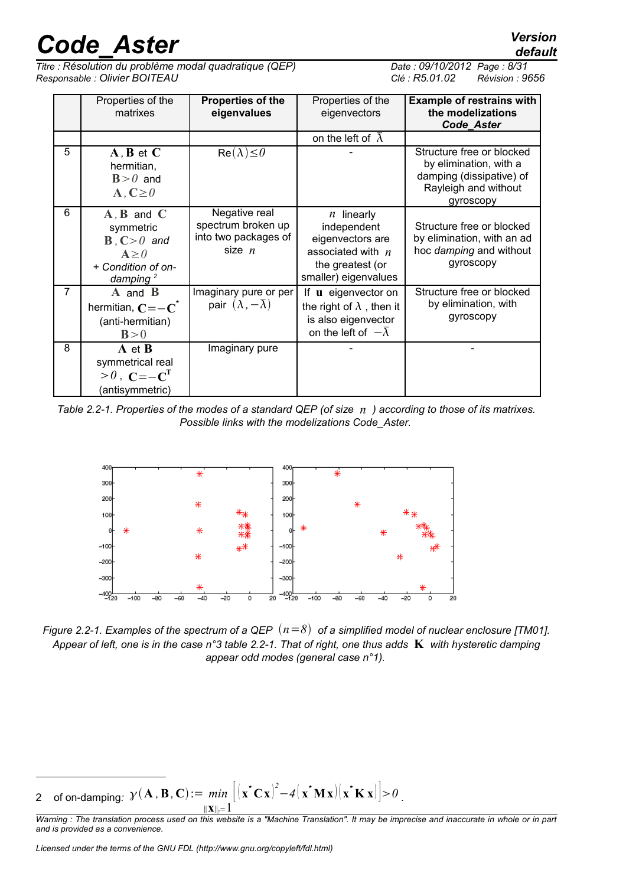*Titre : Résolution du problème modal quadratique (QEP) Date : 09/10/2012 Page : 8/31 Responsable : Olivier BOITEAU Clé : R5.01.02 Révision : 9656*

|                | Properties of the<br>matrixes                                                                                         | <b>Properties of the</b><br>eigenvalues                                 | Properties of the<br>eigenvectors                                                                                        | <b>Example of restrains with</b><br>the modelizations<br><b>Code Aster</b>                                           |
|----------------|-----------------------------------------------------------------------------------------------------------------------|-------------------------------------------------------------------------|--------------------------------------------------------------------------------------------------------------------------|----------------------------------------------------------------------------------------------------------------------|
|                |                                                                                                                       |                                                                         | on the left of $\bar{\lambda}$                                                                                           |                                                                                                                      |
| 5              | $A, B$ et $C$<br>hermitian,<br>$B>0$ and<br>$\mathbf{A}, \mathbf{C} \geq 0$                                           | $Re(\lambda) \leq 0$                                                    |                                                                                                                          | Structure free or blocked<br>by elimination, with a<br>damping (dissipative) of<br>Rayleigh and without<br>gyroscopy |
| 6              | $A, B$ and $C$<br>symmetric<br>$\mathbf{B}$ , $\mathbf{C} > 0$ and<br>$A \geq 0$<br>+ Condition of on-<br>damping $2$ | Negative real<br>spectrum broken up<br>into two packages of<br>size $n$ | $n$ linearly<br>independent<br>eigenvectors are<br>associated with $n$<br>the greatest (or<br>smaller) eigenvalues       | Structure free or blocked<br>by elimination, with an ad<br>hoc damping and without<br>gyroscopy                      |
| $\overline{7}$ | $A$ and $B$<br>hermitian, $C = -C^*$<br>(anti-hermitian)<br>B>0                                                       | Imaginary pure or per<br>pair $(\lambda, -\overline{\lambda})$          | If <b>u</b> eigenvector on<br>the right of $\lambda$ , then it<br>is also eigenvector<br>on the left of $-\bar{\lambda}$ | Structure free or blocked<br>by elimination, with<br>gyroscopy                                                       |
| 8              | $A$ et $B$<br>symmetrical real<br>$>0$ , $C=-CT$<br>(antisymmetric)                                                   | Imaginary pure                                                          |                                                                                                                          |                                                                                                                      |

*Table 2.2-1. Properties of the modes of a standard QEP (of size n ) according to those of its matrixes. Possible links with the modelizations Code\_Aster.*



*Figure 2.2-1. Examples of the spectrum of a QEP*  $(n=8)$  *of a simplified model of nuclear enclosure [TM01]. Appear of left, one is in the case n°3 table 2.2-1. That of right, one thus adds* **K** *with hysteretic damping appear odd modes (general case n°1).*

<span id="page-7-0"></span>2 of on-damping:  $\mathbf{y}(\mathbf{A}, \mathbf{B}, \mathbf{C}) := min \left[ (\mathbf{x}^* \mathbf{C} \mathbf{x})^2 - 4(\mathbf{x}^* \mathbf{M} \mathbf{x}) (\mathbf{x}^* \mathbf{K} \mathbf{x}) \right] > 0$ <sup>∥</sup>**x**<sup>∥</sup>*2*<sup>=</sup>1

*Warning : The translation process used on this website is a "Machine Translation". It may be imprecise and inaccurate in whole or in part and is provided as a convenience.*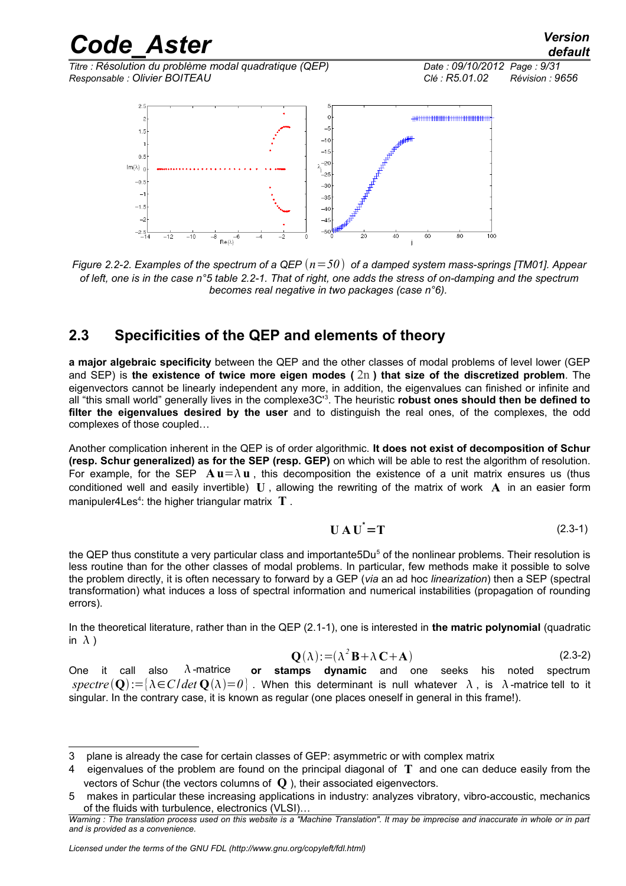*Titre : Résolution du problème modal quadratique (QEP) Date : 09/10/2012 Page : 9/31 Responsable : Olivier BOITEAU Clé : R5.01.02 Révision : 9656*



*Figure 2.2-2. Examples of the spectrum of a QEP*  $(n=50)$  *of a damped system mass-springs [TM01]. Appear of left, one is in the case n°5 table 2.2-1. That of right, one adds the stress of on-damping and the spectrum becomes real negative in two packages (case n°6).*

### **2.3 Specificities of the QEP and elements of theory**

**a major algebraic specificity** between the QEP and the other classes of modal problems of level lower (GEP and SEP) is **the existence of twice more eigen modes (** 2n **) that size of the discretized problem**. The eigenvectors cannot be linearly independent any more, in addition, the eigenvalues can finished or infinite and all "this small world" generally lives in the complexe3C'[3](#page-8-0) . The heuristic **robust ones should then be defined to filter the eigenvalues desired by the user** and to distinguish the real ones, of the complexes, the odd complexes of those coupled…

Another complication inherent in the QEP is of order algorithmic. **It does not exist of decomposition of Schur (resp. Schur generalized) as for the SEP (resp. GEP)** on which will be able to rest the algorithm of resolution. For example, for the SEP  $\mathbf{A} \mathbf{u} = \lambda \mathbf{u}$ , this decomposition the existence of a unit matrix ensures us (thus conditioned well and easily invertible) **U** , allowing the rewriting of the matrix of work **A** in an easier form manipuler[4](#page-8-1)Les<sup>4</sup>: the higher triangular matrix T.

$$
U A U^{\dagger} = T \tag{2.3-1}
$$

the QEP thus constitute a very particular class and importante[5](#page-8-2)Du<sup>5</sup> of the nonlinear problems. Their resolution is less routine than for the other classes of modal problems. In particular, few methods make it possible to solve the problem directly, it is often necessary to forward by a GEP (*via* an ad hoc *linearization*) then a SEP (spectral transformation) what induces a loss of spectral information and numerical instabilities (propagation of rounding errors).

In the theoretical literature, rather than in the QEP (2.1-1), one is interested in **the matric polynomial** (quadratic in  $\lambda$ )

$$
\mathbf{Q}(\lambda) := (\lambda^2 \mathbf{B} + \lambda \mathbf{C} + \mathbf{A})
$$
 (2.3-2)

One it call also  $\lambda$ -matrice **or stamps dynamic** and one seeks his noted spectrum  $spectre(\mathbf{Q}) := \{\lambda \in \mathbb{C} \mid det \mathbf{Q}(\lambda) = 0\}$ . When this determinant is null whatever  $\lambda$ , is  $\lambda$ -matrice tell to it singular. In the contrary case, it is known as regular (one places oneself in general in this frame!).

<span id="page-8-0"></span><sup>3</sup> plane is already the case for certain classes of GEP: asymmetric or with complex matrix

<span id="page-8-1"></span><sup>4</sup> eigenvalues of the problem are found on the principal diagonal of **T** and one can deduce easily from the vectors of Schur (the vectors columns of **Q** ), their associated eigenvectors.

<span id="page-8-2"></span><sup>5</sup> makes in particular these increasing applications in industry: analyzes vibratory, vibro-accoustic, mechanics of the fluids with turbulence, electronics (VLSI)…

*Warning : The translation process used on this website is a "Machine Translation". It may be imprecise and inaccurate in whole or in part and is provided as a convenience.*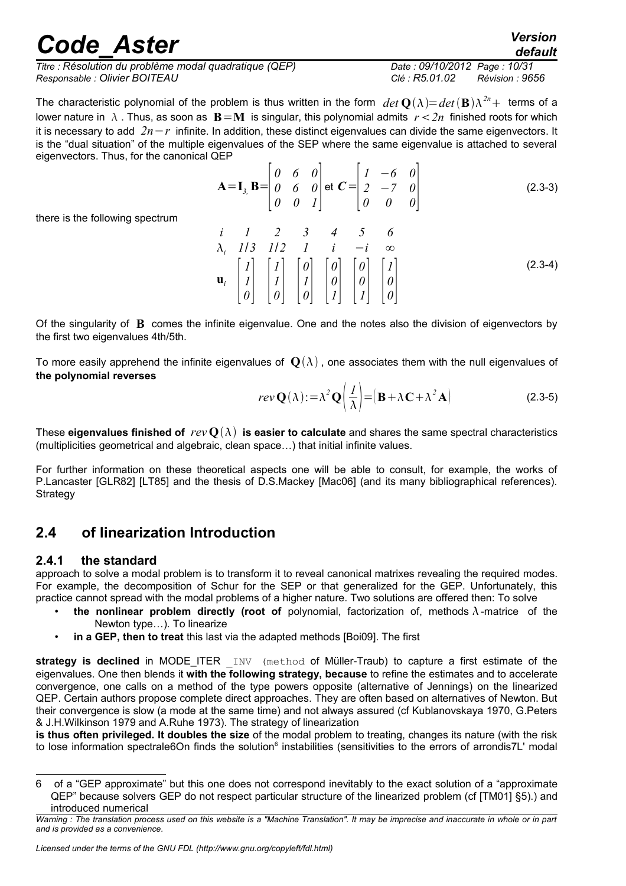*Titre : Résolution du problème modal quadratique (QEP) Date : 09/10/2012 Page : 10/31 Responsable : Olivier BOITEAU Clé : R5.01.02 Révision : 9656*

The characteristic polynomial of the problem is thus written in the form  $det\ {\bf Q}(\lambda){=}\, det\,({\bf B})\lambda^{2n}+$  terms of a lower nature in  $\lambda$ . Thus, as soon as  $\mathbf{B} = \mathbf{M}$  is singular, this polynomial admits  $r < 2n$  finished roots for which it is necessary to add *2n*−*r* infinite. In addition, these distinct eigenvalues can divide the same eigenvectors. It is the "dual situation" of the multiple eigenvalues of the SEP where the same eigenvalue is attached to several eigenvectors. Thus, for the canonical QEP

$$
\mathbf{A} = \mathbf{I}_{3} \mathbf{B} = \begin{bmatrix} 0 & 6 & 0 \\ 0 & 6 & 0 \\ 0 & 0 & 1 \end{bmatrix} \text{ et } \mathbf{C} = \begin{bmatrix} 1 & -6 & 0 \\ 2 & -7 & 0 \\ 0 & 0 & 0 \end{bmatrix}
$$
(2.3-3)

there is the following spectrum

$$
\begin{array}{ccccccccc}\ni & 1 & 2 & 3 & 4 & 5 & 6 \\
\lambda_i & 1/3 & 1/2 & 1 & i & -i & \infty \\
\mathbf{u}_i & \begin{bmatrix} I \\ I \\ 0 \end{bmatrix} & \begin{bmatrix} I \\ I \\ 0 \end{bmatrix} & \begin{bmatrix} 0 \\ I \\ 0 \end{bmatrix} & \begin{bmatrix} 0 \\ 0 \\ I \end{bmatrix} & \begin{bmatrix} 0 \\ 0 \\ I \end{bmatrix} & \begin{bmatrix} I \\ 0 \\ 0 \end{bmatrix} \end{array}
$$
\n(2.3-4)

Of the singularity of **B** comes the infinite eigenvalue. One and the notes also the division of eigenvectors by the first two eigenvalues 4th/5th.

To more easily apprehend the infinite eigenvalues of  $\mathbf{Q}(\lambda)$ , one associates them with the null eigenvalues of **the polynomial reverses**

$$
rev\mathbf{Q}(\lambda) := \lambda^2 \mathbf{Q} \left( \frac{I}{\lambda} \right) = \left( \mathbf{B} + \lambda \mathbf{C} + \lambda^2 \mathbf{A} \right)
$$
 (2.3-5)

These **eigenvalues finished of**  $rev \mathbf{O}(\lambda)$  is easier to calculate and shares the same spectral characteristics (multiplicities geometrical and algebraic, clean space…) that initial infinite values.

For further information on these theoretical aspects one will be able to consult, for example, the works of P.Lancaster [GLR82] [LT85] and the thesis of D.S.Mackey [Mac06] (and its many bibliographical references). Strategy

### **2.4 of linearization Introduction**

#### **2.4.1 the standard**

approach to solve a modal problem is to transform it to reveal canonical matrixes revealing the required modes. For example, the decomposition of Schur for the SEP or that generalized for the GEP. Unfortunately, this practice cannot spread with the modal problems of a higher nature. Two solutions are offered then: To solve

- **the nonlinear problem directly (root of** polynomial, factorization of, methods  $\lambda$ -matrice of the Newton type…). To linearize
- **in a GEP, then to treat** this last via the adapted methods [Boi09]. The first

**strategy is declined** in MODE ITER INV (method of Müller-Traub) to capture a first estimate of the eigenvalues. One then blends it **with the following strategy, because** to refine the estimates and to accelerate convergence, one calls on a method of the type powers opposite (alternative of Jennings) on the linearized QEP. Certain authors propose complete direct approaches. They are often based on alternatives of Newton. But their convergence is slow (a mode at the same time) and not always assured (cf Kublanovskaya 1970, G.Peters & J.H.Wilkinson 1979 and A.Ruhe 1973). The strategy of linearization

**is thus often privileged. It doubles the size** of the modal problem to treating, changes its nature (with the risk to lose information spectrale[6](#page-9-0)On finds the solution<sup>6</sup> instabilities (sensitivities to the errors of arrondis7L' modal

<span id="page-9-0"></span><sup>6</sup> of a "GEP approximate" but this one does not correspond inevitably to the exact solution of a "approximate QEP" because solvers GEP do not respect particular structure of the linearized problem (cf [TM01] §5).) and introduced numerical

*Warning : The translation process used on this website is a "Machine Translation". It may be imprecise and inaccurate in whole or in part and is provided as a convenience.*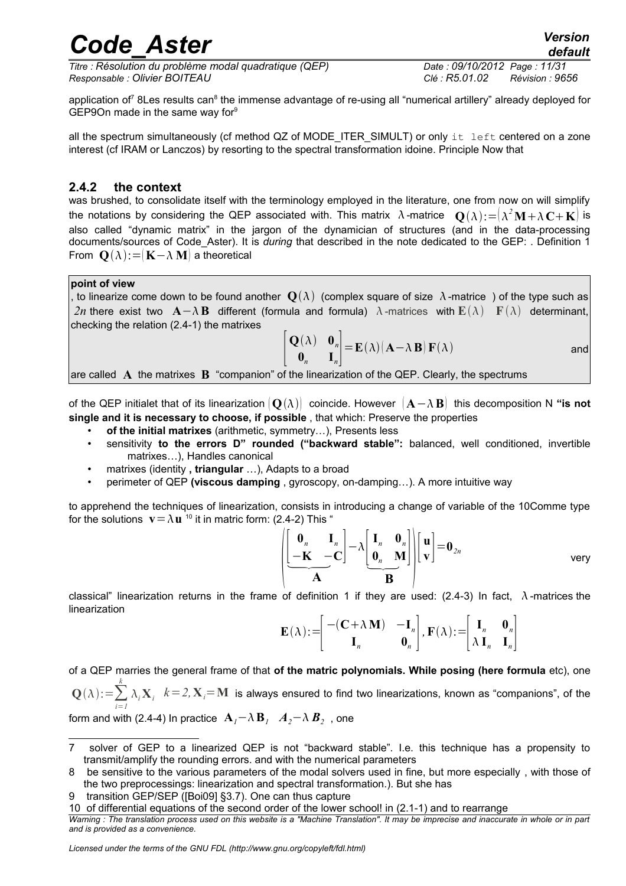*Titre : Résolution du problème modal quadratique (QEP) Date : 09/10/2012 Page : 11/31 Responsable : Olivier BOITEAU Clé : R5.01.02 Révision : 9656*

application of<sup>[7](#page-10-0)</sup> [8](#page-10-1)Les results can<sup>8</sup> the immense advantage of re-using all "numerical artillery" already deployed for GEP[9](#page-10-2)On made in the same way for $9$ 

all the spectrum simultaneously (cf method QZ of MODE\_ITER\_SIMULT) or only it left centered on a zone interest (cf IRAM or Lanczos) by resorting to the spectral transformation idoine. Principle Now that

#### **2.4.2 the context**

was brushed, to consolidate itself with the terminology employed in the literature, one from now on will simplify the notations by considering the QEP associated with. This matrix  $\,\lambda$ -matrice  $\,\mathbf{Q}(\lambda)\!:=\!\!\bigl(\lambda^2\mathbf{M}\!+\!\lambda\,\mathbf{C}\!+\mathbf{K}\bigr)$  is also called "dynamic matrix" in the jargon of the dynamician of structures (and in the data-processing documents/sources of Code\_Aster). It is *during* that described in the note dedicated to the GEP: . Definition 1 From  $\mathbf{Q}(\lambda)$ : =  $\mathbf{K}-\lambda \mathbf{M}$  a theoretical

#### **point of view**

, to linearize come down to be found another  $\mathbf{Q}(\lambda)$  (complex square of size  $\Lambda$ -matrice ) of the type such as 2n there exist two **A**− $\lambda$ **B** different (formula and formula)  $\lambda$ -matrices with  $\mathbb{E}(\lambda)$  **F**  $(\lambda)$  determinant, checking the relation (2.4-1) the matrixes

$$
\begin{vmatrix} \mathbf{Q}(\lambda) & \mathbf{0}_n \\ \mathbf{0}_n & \mathbf{I}_n \end{vmatrix} = \mathbf{E}(\lambda) (\mathbf{A} - \lambda \mathbf{B}) \mathbf{F}(\lambda)
$$
 and

are called **A** the matrixes **B** "companion" of the linearization of the QEP. Clearly, the spectrums

of the QEP initialet that of its linearization  $\{Q(\lambda)\}\$  coincide. However  $\{A-\lambda B\}$  this decomposition N "is not **single and it is necessary to choose, if possible** , that which: Preserve the properties

- **of the initial matrixes** (arithmetic, symmetry…), Presents less
- sensitivity **to the errors D" rounded ("backward stable":** balanced, well conditioned, invertible matrixes…), Handles canonical
- matrixes (identity **, triangular** …), Adapts to a broad
- perimeter of QEP **(viscous damping** , gyroscopy, on-damping…). A more intuitive way

to apprehend the techniques of linearization, consists in introducing a change of variable of the 10Comme type for the solutions  $\mathbf{v} = \lambda \mathbf{u}^{-10}$  $\mathbf{v} = \lambda \mathbf{u}^{-10}$  $\mathbf{v} = \lambda \mathbf{u}^{-10}$  it in matric form: (2.4-2) This "

$$
\left(\begin{bmatrix} \mathbf{0}_n & \mathbf{I}_n \\ -\mathbf{K} & -\mathbf{C} \end{bmatrix} - \lambda \begin{bmatrix} \mathbf{I}_n & \mathbf{0}_n \\ \mathbf{0}_n & \mathbf{M} \end{bmatrix} \right) \left[\begin{bmatrix} \mathbf{u} \\ \mathbf{v} \end{bmatrix} = \mathbf{0}_{2n} \qquad \text{very}
$$

classical" linearization returns in the frame of definition 1 if they are used: (2.4-3) In fact,  $\lambda$ -matrices the linearization

$$
\mathbf{E}(\lambda) := \begin{bmatrix} - (\mathbf{C} + \lambda \mathbf{M}) & -\mathbf{I}_n \\ \mathbf{I}_n & \mathbf{0}_n \end{bmatrix}, \mathbf{F}(\lambda) := \begin{bmatrix} \mathbf{I}_n & \mathbf{0}_n \\ \lambda \mathbf{I}_n & \mathbf{I}_n \end{bmatrix}
$$

of a QEP marries the general frame of that **of the matric polynomials. While posing (here formula** etc), one  $\mathbf{Q}(\lambda)$ := $\sum_{i=1}^{\infty}$ *k*  $\lambda_i \mathbf{X}_i$   $k=2, \mathbf{X}_i$   $=$  **M** is always ensured to find two linearizations, known as "companions", of the

form and with (2.4-4) In practice  $\mathbf{A}_{I}$ <sup>−</sup> $\lambda$   $\mathbf{B}_{I}$   $\mathbf{A}_{2}$ <sup>−</sup> $\lambda$   $\mathbf{B}_{2}$  , one

<span id="page-10-0"></span><sup>7</sup> solver of GEP to a linearized QEP is not "backward stable". I.e. this technique has a propensity to transmit/amplify the rounding errors. and with the numerical parameters

<span id="page-10-1"></span><sup>8</sup> be sensitive to the various parameters of the modal solvers used in fine, but more especially , with those of the two preprocessings: linearization and spectral transformation.). But she has

<span id="page-10-2"></span><sup>9</sup> transition GEP/SEP ([Boi09] §3.7). One can thus capture

<span id="page-10-3"></span><sup>10</sup> of differential equations of the second order of the lower school! in (2.1-1) and to rearrange

*Warning : The translation process used on this website is a "Machine Translation". It may be imprecise and inaccurate in whole or in part and is provided as a convenience.*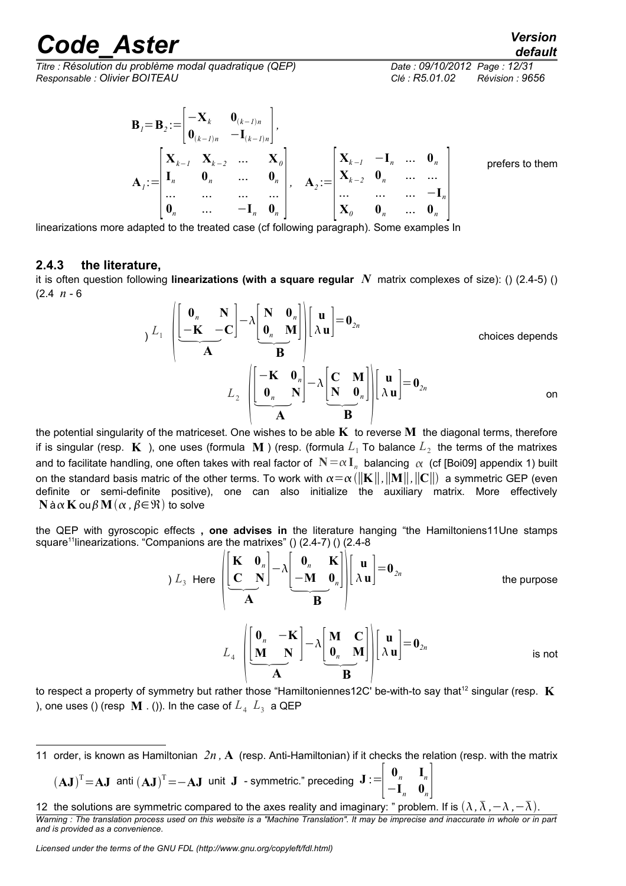*Titre : Résolution du problème modal quadratique (QEP) Date : 09/10/2012 Page : 12/31 Responsable : Olivier BOITEAU Clé : R5.01.02 Révision : 9656*

 $\mathbf{B}_{1}=\mathbf{B}_{2}:=\left|\begin{array}{c} 0 \\ 0 \end{array}\right|$ 

 $-{\bf X}_k$  **0**<sub>(k-*1*)*n*</sub>  $\mathbf{0}_{(k-1)n}$   $\mathbf{-I}_{(k-1)n}$   $\Big|$ ,

prefers to them

 $\mathbf{A}_I$ :=  $\sum$  $\mathbf{X}_{k-1}$  **X**<sub>k-2</sub> ... **X**<sub>0</sub>  $\mathbf{I}_n$  **0**<sub>n</sub> ... **0**<sub>n</sub> ... ... ... ... ...  $\begin{bmatrix}\n\mathbf{0}_n & \dots & \dots & \dots \\
\mathbf{0}_n & \dots & -\mathbf{I}_n & \mathbf{0}_n\n\end{bmatrix}$  $A_2 :=$  $\int_{\mathbf{v}}^{m}$  $\mathbf{X}_{k-l}$  −**I**<sub>n</sub> ... **0**<sub>n</sub> **X**<sub>*k*-2</sub> **0**<sub>*n*</sub> ... ... ... ... ... −**I**<sub>*n*</sub>  $\mathbf{X}_0$  **0**<sub>n</sub> ... **0**<sub>n</sub> linearizations more adapted to the treated case (cf following paragraph).

#### **2.4.3 the literature,**

it is often question following **linearizations (with a square regular** *N* matrix complexes of size): () (2.4-5) () (2.4 *n* - 6  $\mathbf{r}$  $\rightarrow$   $\lambda$ 

$$
\sum_{j} L_{1} \left( \frac{\begin{bmatrix} \mathbf{0}_{n} & \mathbf{N} \\ -\mathbf{K} & -\mathbf{C} \end{bmatrix} - \lambda \begin{bmatrix} \mathbf{N} & \mathbf{0}_{n} \\ \mathbf{0}_{n} & \mathbf{M} \end{bmatrix}}{\mathbf{A}} \right) \left[ \begin{bmatrix} \mathbf{u} \\ \lambda \mathbf{u} \end{bmatrix} = \mathbf{0}_{2n} \right]
$$
\nchoices depends

\n
$$
L_{2} \left[ \frac{\begin{bmatrix} -\mathbf{K} & \mathbf{0}_{n} \\ \mathbf{0}_{n} & \mathbf{N} \end{bmatrix}}{\mathbf{A}} - \lambda \begin{bmatrix} \mathbf{C} & \mathbf{M} \\ \mathbf{N} & \mathbf{0}_{n} \end{bmatrix} \right] \left[ \begin{bmatrix} \mathbf{u} \\ \lambda \mathbf{u} \end{bmatrix} = \mathbf{0}_{2n} \right]
$$
\non

the potential singularity of the matriceset. One wishes to be able **K** to reverse **M** the diagonal terms, therefore if is singular (resp.  $\bf K$  ), one uses (formula  $\bf M$  ) (resp. (formula  $L_1$  To balance  $L_2$  the terms of the matrixes and to facilitate handling, one often takes with real factor of  $\ N=\alpha\ I_n$  balancing  $\ \alpha\,$  (cf [Boi09] appendix 1) built on the standard basis matric of the other terms. To work with  $\alpha = \alpha (\|\mathbf{K}\|, \|\mathbf{M}\|, \|\mathbf{C}\|)$  a symmetric GEP (even definite or semi-definite positive), one can also initialize the auxiliary matrix. More effectively  $N$  à  $\alpha$  **K** ou  $\beta$   $M$   $(\alpha, \beta \in \mathcal{R})$  to solve

the QEP with gyroscopic effects **, one advises in** the literature hanging "the Hamiltoniens11Une stamps square<sup>[11](#page-11-0)</sup>linearizations. "Companions are the matrixes" () (2.4-7) () (2.4-8

$$
L_3 \text{ Here } \left( \underbrace{\begin{bmatrix} \mathbf{K} & \mathbf{0}_n \\ \mathbf{C} & \mathbf{N} \end{bmatrix} - \lambda \begin{bmatrix} \mathbf{0}_n & \mathbf{K} \\ -\mathbf{M} & \mathbf{0}_n \end{bmatrix}}_{L_4} \underbrace{\begin{bmatrix} \mathbf{u} \\ \lambda \mathbf{u} \end{bmatrix} = \mathbf{0}_{2n}}_{L_4 \text{ the purpose}}
$$
  
\n
$$
L_5 \underbrace{\begin{bmatrix} \mathbf{0}_n & -\mathbf{K} \\ \mathbf{M} & \mathbf{N} \end{bmatrix} - \lambda \begin{bmatrix} \mathbf{M} & \mathbf{C} \\ \mathbf{0}_n & \mathbf{M} \end{bmatrix}}_{B} \middle| \begin{bmatrix} \mathbf{u} \\ \lambda \mathbf{u} \end{bmatrix} = \mathbf{0}_{2n}
$$
is not

to respect a property of symmetry but rather those "Hamiltoniennes[12](#page-11-1)C' be-with-to say that<sup>12</sup> singular (resp. **K** ), one uses () (resp  $\bf{M}$  . ()). In the case of  $L_4$   $L_3$  a QEP

 $(\mathbf{A}\mathbf{J})^{\mathrm{T}} = \mathbf{A}\mathbf{J}$  anti  $(\mathbf{A}\mathbf{J})^{\mathrm{T}} = -\mathbf{A}\mathbf{J}$  unit  $\mathbf{J}$  - symmetric." preceding  $\mathbf{J} := \begin{bmatrix} 1 & 0 \\ 0 & 1 \end{bmatrix}$  $\mathbf{0}_n$   $\mathbf{I}_n$  $-\mathbf{I}_n \quad \mathbf{0}_n$ 

<span id="page-11-0"></span><sup>11</sup> order, is known as Hamiltonian *2n ,* **A** (resp. Anti-Hamiltonian) if it checks the relation (resp. with the matrix

<span id="page-11-1"></span><sup>12</sup> the solutions are symmetric compared to the axes reality and imaginary: " problem. If is  $(\lambda, \overline{\lambda}, -\lambda, -\overline{\lambda})$ . *Warning : The translation process used on this website is a "Machine Translation". It may be imprecise and inaccurate in whole or in part and is provided as a convenience.*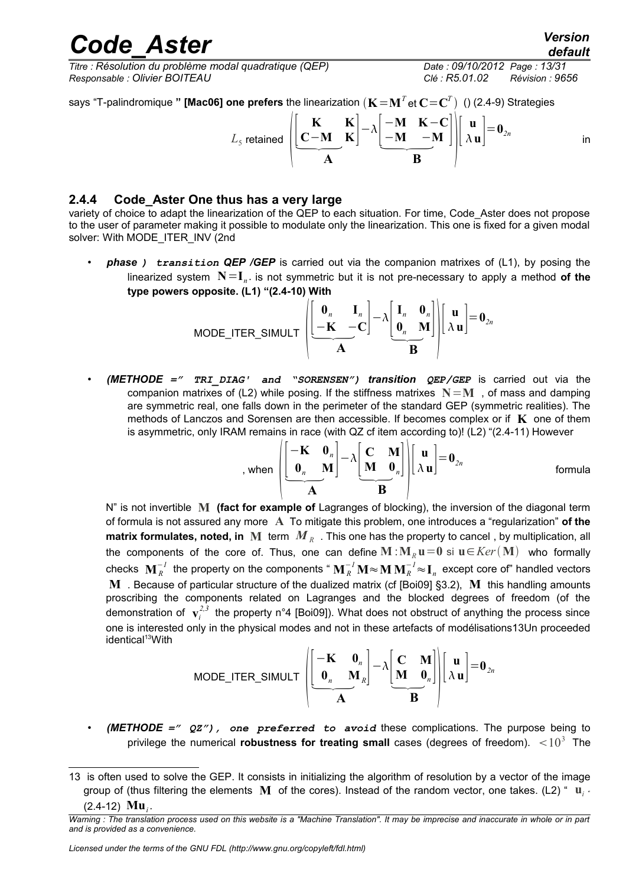*Titre : Résolution du problème modal quadratique (QEP) Date : 09/10/2012 Page : 13/31 Responsable : Olivier BOITEAU Clé : R5.01.02 Révision : 9656*

says "T-palindromique **" [Mac06] one prefers** the linearization  $(\mathbf{K}{=}\mathbf{M}^T$ et  $\mathbf{C}{=}\mathbf{C}^T)$   $\,$  () (2.4-9) Strategies

$$
L_{5} \text{ retained } \left( \left[ \frac{\mathbf{K}}{\mathbf{C}-\mathbf{M}} \cdot \frac{\mathbf{K}}{\mathbf{K}} \right] - \lambda \left[ \frac{-\mathbf{M}}{-\mathbf{M}} \cdot \frac{\mathbf{K}-\mathbf{C}}{-\mathbf{M}} \right] \right) \left[ \begin{array}{c} \mathbf{u} \\ \lambda \mathbf{u} \end{array} \right] = \mathbf{0}_{2n}
$$
 in

#### **2.4.4 Code\_Aster One thus has a very large**

variety of choice to adapt the linearization of the QEP to each situation. For time, Code Aster does not propose to the user of parameter making it possible to modulate only the linearization. This one is fixed for a given modal solver: With MODE\_ITER\_INV (2nd

• *phase ) transition QEP /GEP* is carried out via the companion matrixes of (L1), by posing the linearized system **N**=**I***<sup>n</sup> .* is not symmetric but it is not pre-necessary to apply a method **of the type powers opposite. (L1) "(2.4-10) With**

$$
\text{MODE\_ITER\_SIMULT} \left( \underbrace{\begin{bmatrix} \mathbf{0}_n & \mathbf{I}_n \\ -\mathbf{K} & -\mathbf{C} \end{bmatrix} }_{\mathbf{A}} - \lambda \underbrace{\begin{bmatrix} \mathbf{I}_n & \mathbf{0}_n \\ \mathbf{0}_n & \mathbf{M} \end{bmatrix}}_{\mathbf{B}} \right) \left[ \begin{bmatrix} \mathbf{u} \\ \lambda \mathbf{u} \end{bmatrix} = \mathbf{0}_{2n}
$$

• *(METHODE =" TRI\_DIAG' and "SORENSEN") transition QEP/GEP* is carried out via the companion matrixes of (L2) while posing. If the stiffness matrixes  $N=M$ , of mass and damping are symmetric real, one falls down in the perimeter of the standard GEP (symmetric realities). The methods of Lanczos and Sorensen are then accessible. If becomes complex or if **K** one of them is asymmetric, only IRAM remains in race (with QZ cf item according to)! (L2) "(2.4-11) However

$$
\text{, when } \n\begin{bmatrix}\n-\mathbf{K} & \mathbf{0}_n \\
\mathbf{0}_n & \mathbf{M}\n\end{bmatrix} - \lambda \begin{bmatrix}\n\mathbf{C} & \mathbf{M} \\
\mathbf{M} & \mathbf{0}_n\n\end{bmatrix}\n\begin{bmatrix}\n\mathbf{u} \\
\lambda \mathbf{u}\n\end{bmatrix} = \mathbf{0}_{2n} \quad \text{formula}
$$

N" is not invertible **M (fact for example of** Lagranges of blocking), the inversion of the diagonal term of formula is not assured any more **A** To mitigate this problem, one introduces a "regularization" **of the**  $\bm{\mathsf{matrix}}$  for $\bm{\mathsf{mult}}$  iddes,  $\bm{\mathsf{noted}},$  in  $\bm{\mathsf{M}}$  term  $\bm{M}_R$  . This one has the property to cancel , by multiplication, all the components of the core of. Thus, one can define  $M : M_R u = 0$  si  $u \in Ker(M)$  who formally checks  $\mathbf{M}_R^{-1}$  the property on the components "  $\mathbf{M}_R^{-1}\mathbf{M}\!\approx\!\mathbf{M}\,\mathbf{M}_R^{-1}\!\approx\!\mathbf{I}_n$  except core of" handled vectors **M** . Because of particular structure of the dualized matrix (cf [Boi09] §3.2), **M** this handling amounts proscribing the components related on Lagranges and the blocked degrees of freedom (of the demonstration of  $\mathbf{v}^{2,3}_i$  the property n°4 [Boi09]). What does not obstruct of anything the process since one is interested only in the physical modes and not in these artefacts of modélisations13Un proceeded identical<sup>[13](#page-12-0)</sup>With

$$
\text{MODE\_ITER\_SIMULT} \left( \underbrace{\begin{bmatrix} -\mathbf{K} & \mathbf{0}_n \\ \mathbf{0}_n & \mathbf{M}_R \end{bmatrix}}_{\mathbf{A}} - \lambda \underbrace{\begin{bmatrix} \mathbf{C} & \mathbf{M} \\ \mathbf{M} & \mathbf{0}_n \end{bmatrix}}_{\mathbf{B}} \right) \left[ \begin{bmatrix} \mathbf{u} \\ \lambda \mathbf{u} \end{bmatrix} = \mathbf{0}_{2n}
$$

• *(METHODE =" QZ"), one preferred to avoid* these complications. The purpose being to privilege the numerical **robustness for treating small** cases (degrees of freedom).  $\,$  <  $10^3$  The

<span id="page-12-0"></span><sup>13</sup> is often used to solve the GEP. It consists in initializing the algorithm of resolution by a vector of the image group of (thus filtering the elements **M** of the cores). Instead of the random vector, one takes. (L2) " **u***<sup>i</sup> "*  $(2.4-12)$  **Mu**<sub>*i*</sub>.

*Warning : The translation process used on this website is a "Machine Translation". It may be imprecise and inaccurate in whole or in part and is provided as a convenience.*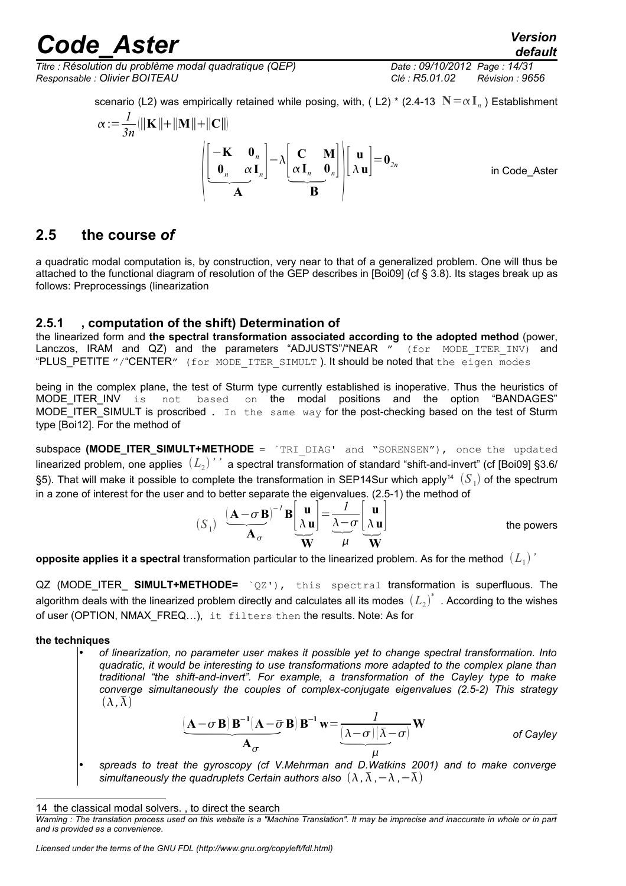*Titre : Résolution du problème modal quadratique (QEP) Date : 09/10/2012 Page : 14/31 Responsable : Olivier BOITEAU Clé : R5.01.02 Révision : 9656*

*default*

scenario (L2) was empirically retained while posing, with, ( L2)  $^*$  (2.4-13  $\,$   $\mathbb{N}$   $=\alpha\,\mathbf{I}_{_n}$  ) Establishment

$$
\alpha := \frac{1}{3n} \left( \|\mathbf{K}\| + \|\mathbf{M}\| + \|\mathbf{C}\| \right)
$$
\n
$$
\left( \begin{bmatrix} -\mathbf{K} & \mathbf{0}_n \\ \mathbf{0}_n & \alpha \mathbf{I}_n \end{bmatrix} - \lambda \begin{bmatrix} \mathbf{C} & \mathbf{M} \\ \alpha \mathbf{I}_n & \mathbf{0}_n \end{bmatrix} \right) \left[ \begin{bmatrix} \mathbf{u} \\ \lambda \mathbf{u} \end{bmatrix} = \mathbf{0}_{2n} \right]
$$
\nin Code\_Aster

### **2.5 the course** *of*

a quadratic modal computation is, by construction, very near to that of a generalized problem. One will thus be attached to the functional diagram of resolution of the GEP describes in [Boi09] (cf § 3.8). Its stages break up as follows: Preprocessings (linearization

#### **2.5.1 , computation of the shift) Determination of**

the linearized form and **the spectral transformation associated according to the adopted method** (power, Lanczos, IRAM and QZ) and the parameters "ADJUSTS"/"NEAR " (for MODE ITER INV) and "PLUS\_PETITE "/"CENTER" (for MODE ITER SIMULT). It should be noted that the eigen modes

being in the complex plane, the test of Sturm type currently established is inoperative. Thus the heuristics of MODE ITER INV is not based on the modal positions and the option "BANDAGES" MODE ITER SIMULT is proscribed . In the same way for the post-checking based on the test of Sturm type [Boi12]. For the method of

subspace **(MODE\_ITER\_SIMULT+METHODE** = `TRI\_DIAG' and "SORENSEN"), once the updated linearized problem, one applies  $\ (L_{2})$  ' 'a spectral transformation of standard "shift-and-invert" (cf [Boi09] §3.6/ §5). That will make it possible to complete the transformation in SEP[14](#page-13-0)Sur which apply<sup>14</sup>  $\, (S_{\,1})$  of the spectrum

in a zone of interest for the user and to better separate the eigenvalues. (2.5-1) the method of\n
$$
(S_1) \frac{(\mathbf{A} - \sigma \mathbf{B})^{-1} \mathbf{B} \begin{bmatrix} \mathbf{u} \\ \lambda \mathbf{u} \end{bmatrix} = \frac{1}{\lambda - \sigma} \begin{bmatrix} \mathbf{u} \\ \lambda \mathbf{u} \end{bmatrix}
$$
\nthe powers

 $\bf$  opposite applies it a spectral transformation particular to the linearized problem. As for the method  $\ (L_1)$  '

QZ (MODE ITER **SIMULT+METHODE=** `QZ'), this spectral transformation is superfluous. The algorithm deals with the linearized problem directly and calculates all its modes  $\ {(L_2)}^* \,$  . According to the wishes of user (OPTION, NMAX\_FREQ...), it filters then the results. Note: As for

#### **the techniques**

• *of linearization, no parameter user makes it possible yet to change spectral transformation. Into quadratic, it would be interesting to use transformations more adapted to the complex plane than traditional "the shift-and-invert". For example, a transformation of the Cayley type to make converge simultaneously the couples of complex-conjugate eigenvalues (2.5-2) This strategy*  $(\lambda, \lambda)$ **A**<sup>B</sup> be interesting to use transfinit-and-invert". For example the couples of containing the couples of containing  $\mathbf{A} - \sigma \mathbf{B} \mathbf{B}^{-1} (\mathbf{A} - \bar{\sigma} \mathbf{B}) \mathbf{B}^{-1}$ 

$$
\underbrace{[\mathbf{A} - \sigma \mathbf{B}]}_{\mathbf{A}_{\sigma}} \underbrace{\mathbf{B}^{-1}(\mathbf{A} - \overline{\sigma} \mathbf{B}) \mathbf{B}^{-1} \mathbf{w}}_{\mathbf{A}_{\sigma}} = \underbrace{\frac{1}{(\lambda - \sigma)(\overline{\lambda} - \sigma)}}_{\mu} \mathbf{W}
$$
 of Cayley

• *spreads to treat the gyroscopy (cf V.Mehrman and D.Watkins 2001) and to make converge simultaneously the quadruplets Certain authors also*  $(\lambda, \overline{\lambda}, -\lambda, -\overline{\lambda})$ 

<span id="page-13-0"></span><sup>14</sup> the classical modal solvers. , to direct the search

*Warning : The translation process used on this website is a "Machine Translation". It may be imprecise and inaccurate in whole or in part and is provided as a convenience.*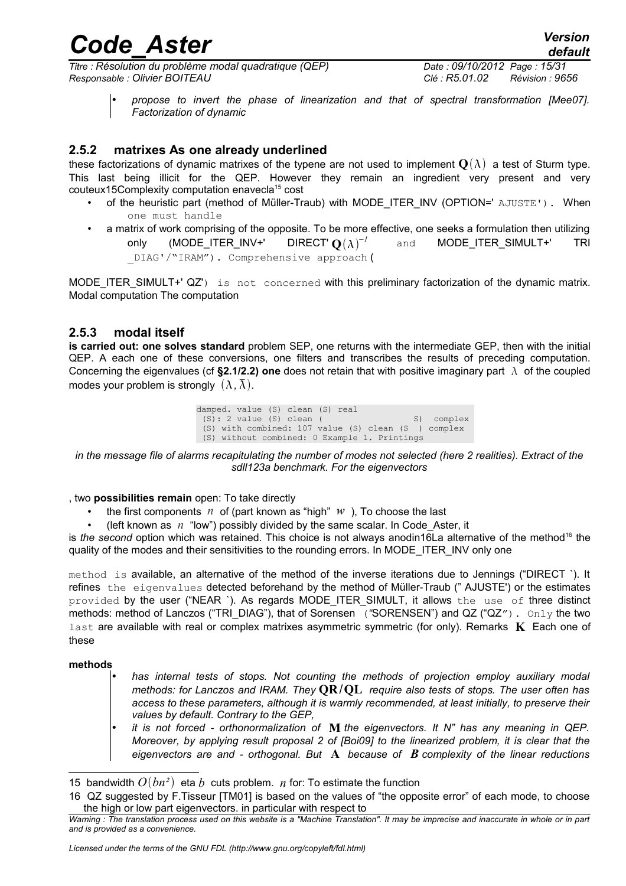*Titre : Résolution du problème modal quadratique (QEP) Date : 09/10/2012 Page : 15/31 Responsable : Olivier BOITEAU Clé : R5.01.02 Révision : 9656*

*default*

### **2.5.2 matrixes As one already underlined**

these factorizations of dynamic matrixes of the typene are not used to implement  $\mathbf{Q}(\lambda)$  a test of Sturm type. This last being illicit for the QEP. However they remain an ingredient very present and very couteux[15](#page-14-0)Complexity computation enavecla<sup>15</sup> cost

- of the heuristic part (method of Müller-Traub) with MODE ITER INV (OPTION=' AJUSTE'). When one must handle
- a matrix of work comprising of the opposite. To be more effective, one seeks a formulation then utilizing only (MODE ITER INV+' DIRECT'  $O(\lambda)^{-1}$ and **MODE ITER SIMULT+'** TRI \_DIAG'/"IRAM"). Comprehensive approach (

MODE\_ITER\_SIMULT+' QZ') is not concerned with this preliminary factorization of the dynamic matrix. Modal computation The computation

#### **2.5.3 modal itself**

**is carried out: one solves standard** problem SEP, one returns with the intermediate GEP, then with the initial QEP. A each one of these conversions, one filters and transcribes the results of preceding computation. Concerning the eigenvalues (cf **§2.1/2.2) one** does not retain that with positive imaginary part  $\lambda$  of the coupled modes your problem is strongly  $(\lambda, \overline{\lambda})$ .

> damped. value (S) clean (S) real  $(S): 2$  value  $(S)$  clean ( S) complex (S) with combined: 107 value (S) clean (S ) complex (S) without combined: 0 Example 1. Printings

*in the message file of alarms recapitulating the number of modes not selected (here 2 realities). Extract of the sdll123a benchmark. For the eigenvectors*

, two **possibilities remain** open: To take directly

- the first components  $n \cdot$  of (part known as "high"  $w$ ), To choose the last
- (left known as *n* "low") possibly divided by the same scalar. In Code\_Aster, it

is *the second* option which was retained. This choice is not always anodin[16](#page-14-1)La alternative of the method<sup>16</sup> the quality of the modes and their sensitivities to the rounding errors. In MODE\_ITER\_INV only one

method is available, an alternative of the method of the inverse iterations due to Jennings ("DIRECT `). It refines the eigenvalues detected beforehand by the method of Müller-Traub (" AJUSTE') or the estimates provided by the user ("NEAR `). As regards MODE\_ITER\_SIMULT, it allows the use of three distinct methods: method of Lanczos ("TRI\_DIAG"), that of Sorensen ("SORENSEN") and QZ ("QZ"). Only the two last are available with real or complex matrixes asymmetric symmetric (for only). Remarks **K** Each one of these

#### **methods**

- *has internal tests of stops. Not counting the methods of projection employ auxiliary modal methods: for Lanczos and IRAM. They* **QR**/**QL** *require also tests of stops. The user often has access to these parameters, although it is warmly recommended, at least initially, to preserve their values by default. Contrary to the GEP,* 
	- *it is not forced orthonormalization of* **M** *the eigenvectors. It N" has any meaning in QEP. Moreover, by applying result proposal 2 of [Boi09] to the linearized problem, it is clear that the eigenvectors are and - orthogonal. But* **A** *because of B complexity of the linear reductions*

<span id="page-14-0"></span><sup>15</sup> bandwidth  $O(bn^2)$  eta *b* cuts problem. *n* for: To estimate the function

<span id="page-14-1"></span><sup>16</sup> QZ suggested by F.Tisseur [TM01] is based on the values of "the opposite error" of each mode, to choose the high or low part eigenvectors. in particular with respect to

*Warning : The translation process used on this website is a "Machine Translation". It may be imprecise and inaccurate in whole or in part and is provided as a convenience.*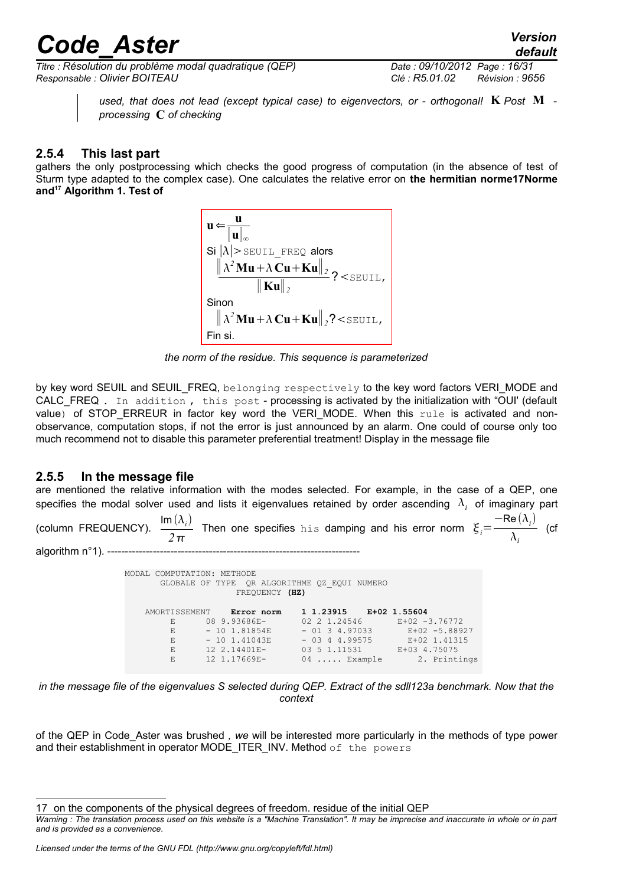*Titre : Résolution du problème modal quadratique (QEP) Date : 09/10/2012 Page : 16/31 Responsable : Olivier BOITEAU Clé : R5.01.02 Révision : 9656*

*used, that does not lead (except typical case) to eigenvectors, or - orthogonal!* **K** *Post* **M**  *processing* **C** *of checking*

#### **2.5.4 This last part**

gathers the only postprocessing which checks the good progress of computation (in the absence of test of Sturm type adapted to the complex case). One calculates the relative error on **the hermitian norme17Norme and[17](#page-15-0) Algorithm 1. Test of**

> $\mathbf{u} \Leftarrow$ **u**  $\mathbf{u}$ <sup> $\vert$ </sup> Si  $|\lambda|$ > SEUIL FREQ alors  $\frac{\left\|\lambda^2\mathbf{M}\mathbf{u} + \lambda\mathbf{C}\mathbf{u} + \mathbf{K}\mathbf{u}\right\|_2}{\|\mathbf{X}\|_2}$ ? < SEUIL, <sup>∥</sup> **Ku**∥*<sup>2</sup>* Sinon  $\|\lambda^2\mathbf{M}\mathbf{u}+\lambda\mathbf{C}\mathbf{u}+\mathbf{K}\mathbf{u}\|_2$ ?<seuil, Fin si.

*the norm of the residue. This sequence is parameterized*

by key word SEUIL and SEUIL FREQ, belonging respectively to the key word factors VERI\_MODE and CALC\_FREQ . In addition , this post - processing is activated by the initialization with "OUI' (default value) of STOP ERREUR in factor key word the VERI MODE. When this rule is activated and nonobservance, computation stops, if not the error is just announced by an alarm. One could of course only too much recommend not to disable this parameter preferential treatment! Display in the message file

#### **2.5.5 In the message file**

are mentioned the relative information with the modes selected. For example, in the case of a QEP, one specifies the modal solver used and lists it eigenvalues retained by order ascending  $\lambda_i$  of imaginary part

(column FREQUENCY). Im  $(\lambda_i)$  $\frac{1}{2\pi}$  Then one specifies his damping and his error norm  $\xi_i=$  $-$ Re  $(\lambda_i)$  $\frac{\partial}{\partial x_i}$  (cf algorithm  $n°1$ ). --

> MODAL COMPUTATION: METHODE GLOBALE OF TYPE QR ALGORITHME QZ\_EQUI NUMERO FREQUENCY **(HZ)** AMORTISSEMENT **Error norm 1 1.23915 E+02 1.55604**<br>
> E<sub>102</sub> 08 9.93686E-02 2 1.24546 E+02 -3.76772 E 08 9.93686E- 02 2 1.24546 E+02 -3.76772 E - 10 1.81854E - 01 3 4.97033 E+02 -5.88927 E - 10 1.41043E - 03 4 4.99575 E+02 1.41315<br>E 12 2.14401E- 03 5 1.11531 E+03 4.75075 12 2.14401E- 03 5 1.11531 E+03 4.75075<br>12 1.17669E- 04 ..... Example 2. Printings E 12 1.17669E- 04 ..... Example

*in the message file of the eigenvalues S selected during QEP. Extract of the sdll123a benchmark. Now that the context*

of the QEP in Code\_Aster was brushed *, we* will be interested more particularly in the methods of type power and their establishment in operator MODE\_ITER\_INV. Method of the powers

<span id="page-15-0"></span><sup>17</sup> on the components of the physical degrees of freedom. residue of the initial QEP

*Warning : The translation process used on this website is a "Machine Translation". It may be imprecise and inaccurate in whole or in part and is provided as a convenience.*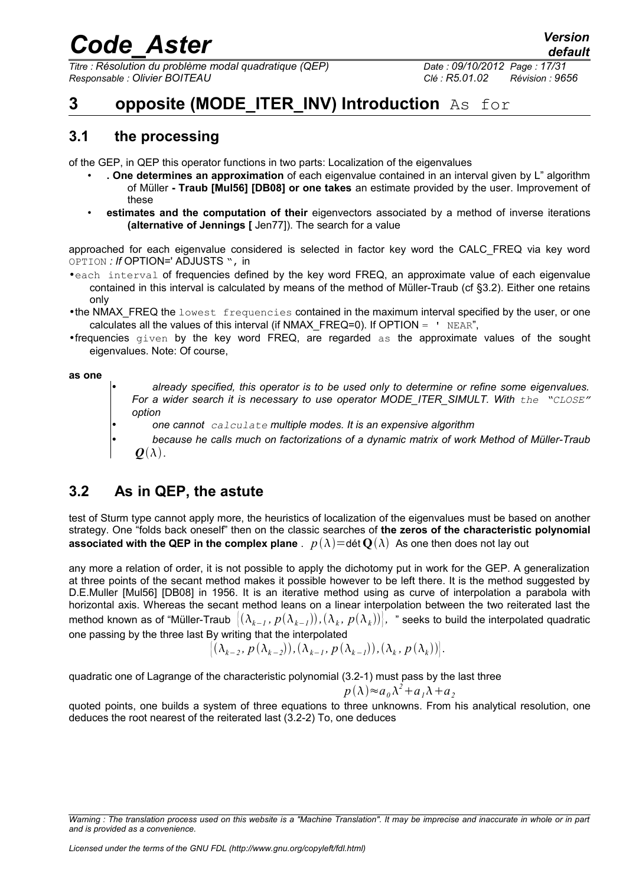*Titre : Résolution du problème modal quadratique (QEP) Date : 09/10/2012 Page : 17/31 Responsable : Olivier BOITEAU Clé : R5.01.02 Révision : 9656*

### **3** opposite (MODE ITER INV) Introduction As for

### **3.1 the processing**

of the GEP, in QEP this operator functions in two parts: Localization of the eigenvalues

- **. One determines an approximation** of each eigenvalue contained in an interval given by L" algorithm of Müller **- Traub [Mul56] [DB08] or one takes** an estimate provided by the user. Improvement of these
- **estimates and the computation of their** eigenvectors associated by a method of inverse iterations **(alternative of Jennings [** Jen77]). The search for a value

approached for each eigenvalue considered is selected in factor key word the CALC\_FREQ via key word OPTION *: If* OPTION=' ADJUSTS ", in

- •each interval of frequencies defined by the key word FREQ, an approximate value of each eigenvalue contained in this interval is calculated by means of the method of Müller-Traub (cf §3.2). Either one retains only
- •the NMAX FREQ the lowest frequencies contained in the maximum interval specified by the user, or one calculates all the values of this interval (if NMAX  $FREQ=0$ ). If OPTION =  $\cdot$  NEAR",
- •frequencies given by the key word FREQ, are regarded as the approximate values of the sought eigenvalues. Note: Of course,

#### **as one**

- *already specified, this operator is to be used only to determine or refine some eigenvalues. For a wider search it is necessary to use operator MODE\_ITER\_SIMULT. With the "CLOSE" option*
- *one cannot calculate multiple modes. It is an expensive algorithm*
- *because he calls much on factorizations of a dynamic matrix of work Method of Müller-Traub*  $\boldsymbol{O}(\lambda)$ .

### **3.2 As in QEP, the astute**

test of Sturm type cannot apply more, the heuristics of localization of the eigenvalues must be based on another strategy. One "folds back oneself" then on the classic searches of **the zeros of the characteristic polynomial associated with the QEP in the complex plane** .  $p(\lambda) =$ dét  $\mathbf{O}(\lambda)$  As one then does not lay out

any more a relation of order, it is not possible to apply the dichotomy put in work for the GEP. A generalization at three points of the secant method makes it possible however to be left there. It is the method suggested by D.E.Muller [Mul56] [DB08] in 1956. It is an iterative method using as curve of interpolation a parabola with horizontal axis. Whereas the secant method leans on a linear interpolation between the two reiterated last the method known as of "Müller-Traub  $\big|(\lambda_{k-1},p(\lambda_{k-1})),(\lambda_k,\,p(\lambda_k))\big|$ , " seeks to build the interpolated quadratic one passing by the three last By writing that the interpolated

$$
\left\{\left(\lambda_{k-2},\,p\left(\lambda_{k-2}\right)\right),\left(\lambda_{k-1},\,p\left(\lambda_{k-1}\right)\right),\left(\lambda_k,\,p\left(\lambda_k\right)\right)\right\}.
$$

quadratic one of Lagrange of the characteristic polynomial (3.2-1) must pass by the last three

$$
p(\lambda) \approx a_0 \lambda^2 + a_1 \lambda + a_2
$$

quoted points, one builds a system of three equations to three unknowns. From his analytical resolution, one deduces the root nearest of the reiterated last (3.2-2) To, one deduces

*Warning : The translation process used on this website is a "Machine Translation". It may be imprecise and inaccurate in whole or in part and is provided as a convenience.*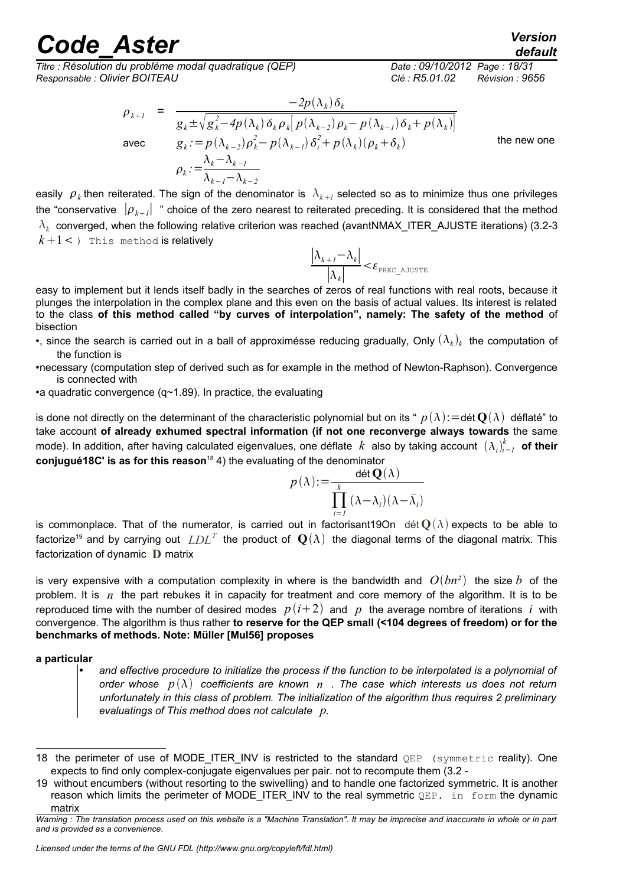*Titre : Résolution du problème modal quadratique (QEP) Responsable : Olivier BOITEAU Clé : R5.01.02 Révision : 9656*

$$
\rho_{k+1} = \frac{-2p(\lambda_k)\delta_k}{g_k \pm \sqrt{g_k^2 - 4p(\lambda_k)\delta_k \rho_k} \left[p(\lambda_{k-2})\rho_k - p(\lambda_{k-1})\delta_k + p(\lambda_k)\right]}
$$
  
avec 
$$
g_k := p(\lambda_{k-2})\rho_k^2 - p(\lambda_{k-1})\delta_i^2 + p(\lambda_k)(\rho_k + \delta_k)
$$
 the new one  

$$
\rho_k := \frac{\lambda_k - \lambda_{k-1}}{\lambda_{k-1} - \lambda_{k-2}}
$$

easily  $\rho_k$  then reiterated. The sign of the denominator is  $\lambda_{k+l}$  selected so as to minimize thus one privileges the "conservative  $\|\rho_{_{k+I}}\|$  " choice of the zero nearest to reiterated preceding. It is considered that the method  $\lambda_k$  converged, when the following relative criterion was reached (avantNMAX\_ITER\_AJUSTE iterations) (3.2-3  $k+1$  < ) This method is relatively

$$
\frac{|\lambda_{k+1} - \lambda_k|}{|\lambda_k|} < \varepsilon_{\text{prec\_ajuster}}
$$

easy to implement but it lends itself badly in the searches of zeros of real functions with real roots, because it plunges the interpolation in the complex plane and this even on the basis of actual values. Its interest is related to the class **of this method called "by curves of interpolation", namely: The safety of the method** of bisection

- •, since the search is carried out in a ball of approximésse reducing gradually, Only  $(\lambda_k)_k$  the computation of the function is
- •necessary (computation step of derived such as for example in the method of Newton-Raphson). Convergence is connected with
- •a quadratic convergence (q~1.89). In practice, the evaluating

is done not directly on the determinant of the characteristic polynomial but on its "  $p(\lambda)$ : =dét  $\mathbf{Q}(\lambda)$  déflaté" to take account **of already exhumed spectral information (if not one reconverge always towards** the same mode). In addition, after having calculated eigenvalues, one déflate  $k$  also by taking account  $(\lambda_i)_{i=1}^k$  **of their conjugué[18](#page-17-0)C' is as for this reason<sup>18</sup> 4)** the evaluating of the denominator

$$
p(\lambda) := \frac{\det \mathbf{Q}(\lambda)}{\prod_{i=1}^{k} (\lambda - \lambda_i)(\lambda - \bar{\lambda}_i)}
$$

is commonplace. That of the numerator, is carried out in factorisant19On dét  $O(\lambda)$  expects to be able to factorize<sup>[19](#page-17-1)</sup> and by carrying out  $LDL^T$  the product of  $\mathbf{Q}(\lambda)$  the diagonal terms of the diagonal matrix. This factorization of dynamic **D** matrix

is very expensive with a computation complexity in where is the bandwidth and  $O(bn^2)$  the size b of the problem. It is *n* the part rebukes it in capacity for treatment and core memory of the algorithm. It is to be reproduced time with the number of desired modes  $p(i+2)$  and  $p$  the average nombre of iterations *i* with convergence. The algorithm is thus rather **to reserve for the QEP small (<104 degrees of freedom) or for the benchmarks of methods. Note: Müller [Mul56] proposes**

#### **a particular**

• *and effective procedure to initialize the process if the function to be interpolated is a polynomial of order whose*  $p(\lambda)$  coefficients are known  $n$  . The case which interests us does not return *unfortunately in this class of problem. The initialization of the algorithm thus requires 2 preliminary evaluatings of This method does not calculate p.*

*default*

<span id="page-17-0"></span><sup>18</sup> the perimeter of use of MODE\_ITER\_INV is restricted to the standard QEP (symmetric reality). One expects to find only complex-conjugate eigenvalues per pair. not to recompute them (3.2 -

<span id="page-17-1"></span><sup>19</sup> without encumbers (without resorting to the swivelling) and to handle one factorized symmetric. It is another reason which limits the perimeter of MODE\_ITER\_INV to the real symmetric QEP. in form the dynamic matrix

*Warning : The translation process used on this website is a "Machine Translation". It may be imprecise and inaccurate in whole or in part and is provided as a convenience.*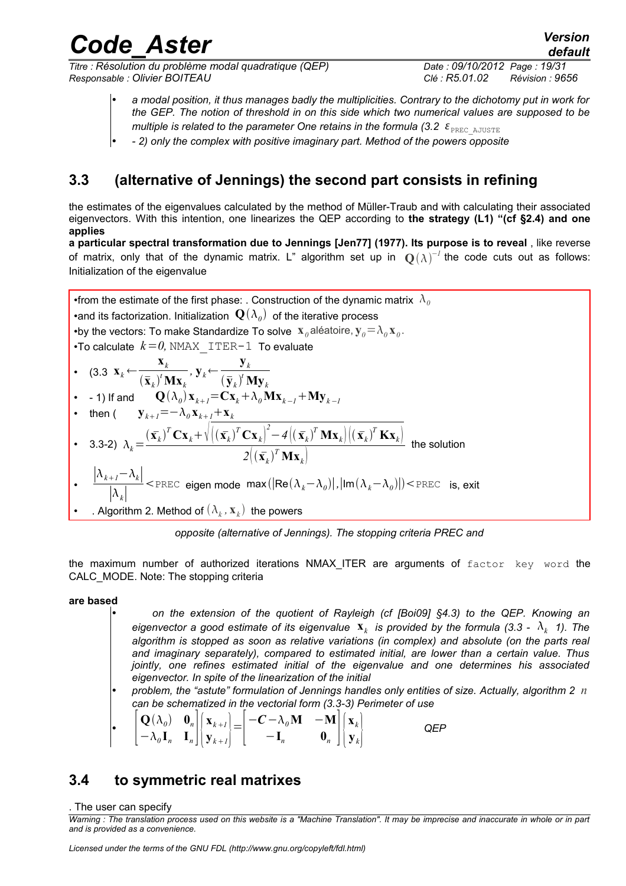*Titre : Résolution du problème modal quadratique (QEP) Date : 09/10/2012 Page : 19/31 Responsable : Olivier BOITEAU Clé : R5.01.02 Révision : 9656*

*default*

- *a modal position, it thus manages badly the multiplicities. Contrary to the dichotomy put in work for the GEP. The notion of threshold in on this side which two numerical values are supposed to be*
- *multiple is related to the parameter One retains in the formula (3.2*  $\epsilon_{\text{PREC AJUSE}}$
- *2) only the complex with positive imaginary part. Method of the powers opposite*

### **3.3 (alternative of Jennings) the second part consists in refining**

the estimates of the eigenvalues calculated by the method of Müller-Traub and with calculating their associated eigenvectors. With this intention, one linearizes the QEP according to **the strategy (L1) "(cf §2.4) and one applies**

**a particular spectral transformation due to Jennings [Jen77] (1977). Its purpose is to reveal** , like reverse of matrix, only that of the dynamic matrix. L" algorithm set up in  $\mathbf{Q}(\lambda)^{-1}$  the code cuts out as follows: Initialization of the eigenvalue

•from the estimate of the first phase: . Construction of the dynamic matrix  $\lambda_0$  $\bullet$ and its factorization. Initialization  $\;{\bf Q}(\lambda_o)\;$  of the iterative process •by the vectors: To make Standardize To solve  $\mathbf{x}_{\theta}$  aléatoire,  $\mathbf{y}_{\theta} = \lambda_{\theta} \mathbf{x}_{\theta}$ . •To calculate  $k=0$ , NMAX ITER-1 To evaluate • (3.3  $\mathbf{x}_k \leftarrow$ **x***k*  $\frac{d\mathbf{x}_k}{(\mathbf{x}_k)^t \mathbf{M} \mathbf{x}_k}$ ,  $\mathbf{y}_k \leftarrow$ **y***k*  $(\bar{\mathbf{y}}_k)^t \mathbf{M} \mathbf{y}_k$ •  $-$  1) If and  $\mathbf{Q}(\lambda_{\theta})\mathbf{x}_{k+1}$   $=$   $\mathbf{C}\mathbf{x}_{k}$   $+$   $\lambda_{\theta}\mathbf{M}\mathbf{x}_{k-1}$   $+$   $\mathbf{M}\mathbf{y}_{k-1}$ • then ( **y**<sub>*k*+*1*</sub> =  $-\lambda_0$ **x**<sub>*k*+*1*</sub> + **x**<sub>*k*</sub> • 3.3-2)  $\lambda_k =$  $(\mathbf{x}_k)^T \mathbf{C} \mathbf{x}_k + \sqrt{\left( (\mathbf{x}_k)^T \mathbf{C} \mathbf{x}_k \right)^2 - 4 \left( (\mathbf{x}_k)^T \mathbf{M} \mathbf{x}_k \right) \left( (\mathbf{x}_k)^T \mathbf{K} \mathbf{x}_k \right)^2}$  $2((\bar{\mathbf{x}}_k)^T \mathbf{M} \mathbf{x}_k)$  the solution •  $|λ_{k+1}−λ_k|$ ∣*k*∣  $\langle P_{\text{PREC}} \rangle$  eigen mode max $(|\text{Re}(\lambda_k - \lambda_0)|, |\text{Im}(\lambda_k - \lambda_0)|) \langle P_{\text{PREC}} \rangle$  is, exit •  $\,$  . Algorithm 2. Method of  $(\lambda_k, \mathbf{x}_k) \,$  the powers

*opposite (alternative of Jennings). The stopping criteria PREC and*

the maximum number of authorized iterations NMAX ITER are arguments of factor key word the CALC\_MODE. Note: The stopping criteria

#### **are based**

- *on the extension of the quotient of Rayleigh (cf [Boi09] §4.3) to the QEP. Knowing an* eigenvector a good estimate of its eigenvalue  $\mathbf{x}_k$  is provided by the formula (3.3 -  $\lambda_k$  1). The *algorithm is stopped as soon as relative variations (in complex) and absolute (on the parts real and imaginary separately), compared to estimated initial, are lower than a certain value. Thus jointly, one refines estimated initial of the eigenvalue and one determines his associated eigenvector. In spite of the linearization of the initial*
- *problem, the "astute" formulation of Jennings handles only entities of size. Actually, algorithm 2 n can be schematized in the vectorial form (3.3-3) Perimeter of use*

$$
\begin{bmatrix} \mathbf{Q}(\lambda_0) & \mathbf{0}_n \\ -\lambda_0 \mathbf{I}_n & \mathbf{I}_n \end{bmatrix} \begin{bmatrix} \mathbf{x}_{k+1} \\ \mathbf{y}_{k+1} \end{bmatrix} = \begin{bmatrix} -\mathbf{C} - \lambda_0 \mathbf{M} & -\mathbf{M} \\ -\mathbf{I}_n & \mathbf{0}_n \end{bmatrix} \begin{bmatrix} \mathbf{x}_k \\ \mathbf{y}_k \end{bmatrix}
$$
 QEP

### **3.4 to symmetric real matrixes**

. The user can specify

*Warning : The translation process used on this website is a "Machine Translation". It may be imprecise and inaccurate in whole or in part and is provided as a convenience.*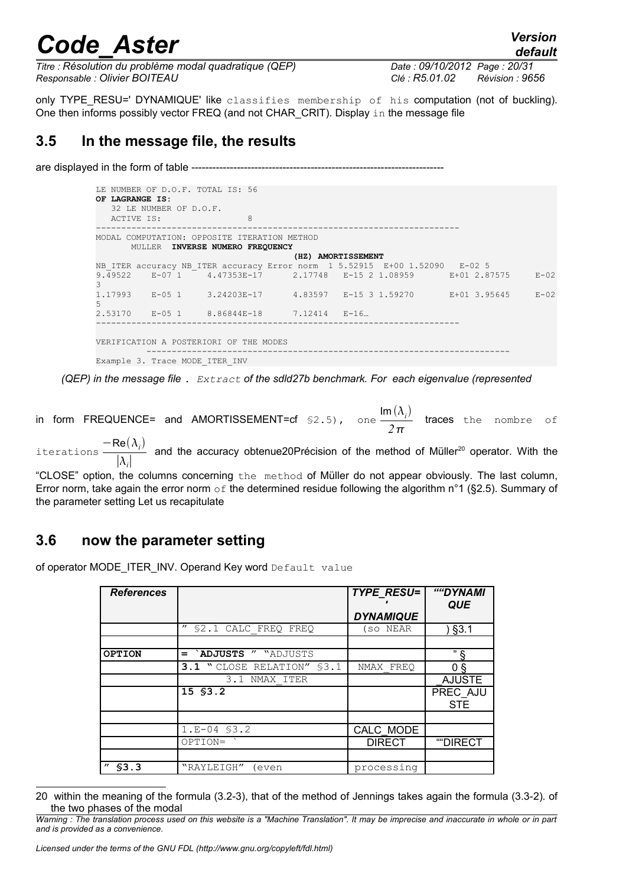*default*

*Titre : Résolution du problème modal quadratique (QEP) Date : 09/10/2012 Page : 20/31 Responsable : Olivier BOITEAU Clé : R5.01.02 Révision : 9656*

only TYPE\_RESU=' DYNAMIQUE' like classifies membership of his computation (not of buckling). One then informs possibly vector FREQ (and not CHAR\_CRIT). Display  $\text{in}$  the message file

### **3.5 In the message file, the results**

are displayed in the form of table ---------------

| OF LAGRANGE IS:                        |                                | LE NUMBER OF D.O.F. TOTAL IS: 56             |  |                                                                            |  |  |
|----------------------------------------|--------------------------------|----------------------------------------------|--|----------------------------------------------------------------------------|--|--|
|                                        | 32 LE NUMBER OF D.O.F.         |                                              |  |                                                                            |  |  |
| ACTIVE IS:                             |                                | $\mathcal{R}$                                |  |                                                                            |  |  |
|                                        |                                | MODAL COMPUTATION: OPPOSITE ITERATION METHOD |  |                                                                            |  |  |
|                                        |                                | MULLER INVERSE NUMERO FREQUENCY              |  |                                                                            |  |  |
|                                        |                                |                                              |  | (HZ) AMORTISSEMENT                                                         |  |  |
|                                        |                                |                                              |  | NB ITER accuracy NB ITER accuracy Error norm 1 5.52915 E+00 1.52090 E-02 5 |  |  |
| 3                                      |                                |                                              |  | 9.49522 E-07 1 4.47353E-17 2.17748 E-15 2 1.08959 E+01 2.87575 E-02        |  |  |
| .5                                     |                                |                                              |  | $1.17993$ E-05 1 3.24203E-17 4.83597 E-15 3 1.59270 E+01 3.95645 E-02      |  |  |
|                                        |                                | $2.53170$ E-05 1 8.86844E-18 7.12414 E-16    |  |                                                                            |  |  |
|                                        |                                |                                              |  |                                                                            |  |  |
| VERIFICATION A POSTERIORI OF THE MODES |                                |                                              |  |                                                                            |  |  |
|                                        | Example 3. Trace MODE ITER INV |                                              |  |                                                                            |  |  |

*(QEP) in the message file . Extract of the sdld27b benchmark. For each eigenvalue (represented*

in form FREQUENCE= and AMORTISSEMENT=cf  $\frac{\sin(\lambda_i)}{2}$ *2* traces the nombre of

iterations  $\frac{-\text{Re}(\lambda_i)}{|\lambda_i|}$  $|λ<sub>i</sub>|$ and the accuracy obtenue[20](#page-19-0)Précision of the method of Müller<sup>20</sup> operator. With the

"CLOSE" option, the columns concerning the method of Müller do not appear obviously. The last column, Error norm, take again the error norm  $\circ$  f the determined residue following the algorithm n°1 (§2.5). Summary of the parameter setting Let us recapitulate

### **3.6 now the parameter setting**

of operator MODE\_ITER\_INV. Operand Key word Default value

| <b>References</b> |                                           | <b>TYPE RESU=</b> | ""DYNAMI<br><b>QUE</b> |
|-------------------|-------------------------------------------|-------------------|------------------------|
|                   |                                           | <b>DYNAMIQUE</b>  |                        |
|                   | $^{\prime\prime}$<br>\$2.1 CALC FREO FREO | (so NEAR          | §3.1                   |
|                   |                                           |                   |                        |
| <b>OPTION</b>     | `ADJUSTS " "ADJUSTS<br>$=$                |                   | " &                    |
|                   | 3.1 " CLOSE RELATION" \$3.1               | NMAX FREO         | 0 <sub>5</sub>         |
|                   | 3.1 NMAX ITER                             |                   | <b>AJUSTE</b>          |
|                   | 15 \$3.2                                  |                   | PREC AJU<br><b>STE</b> |
|                   |                                           |                   |                        |
|                   | $1.E-04$ \$3.2                            | CALC MODE         |                        |
|                   | OPTION=                                   | <b>DIRECT</b>     | ""DIRECT               |
|                   |                                           |                   |                        |
| \$3.3             | "RAYLEIGH"<br>even                        | processing        |                        |

<span id="page-19-0"></span><sup>20</sup> within the meaning of the formula (3.2-3), that of the method of Jennings takes again the formula (3.3-2). of the two phases of the modal

*Warning : The translation process used on this website is a "Machine Translation". It may be imprecise and inaccurate in whole or in part and is provided as a convenience.*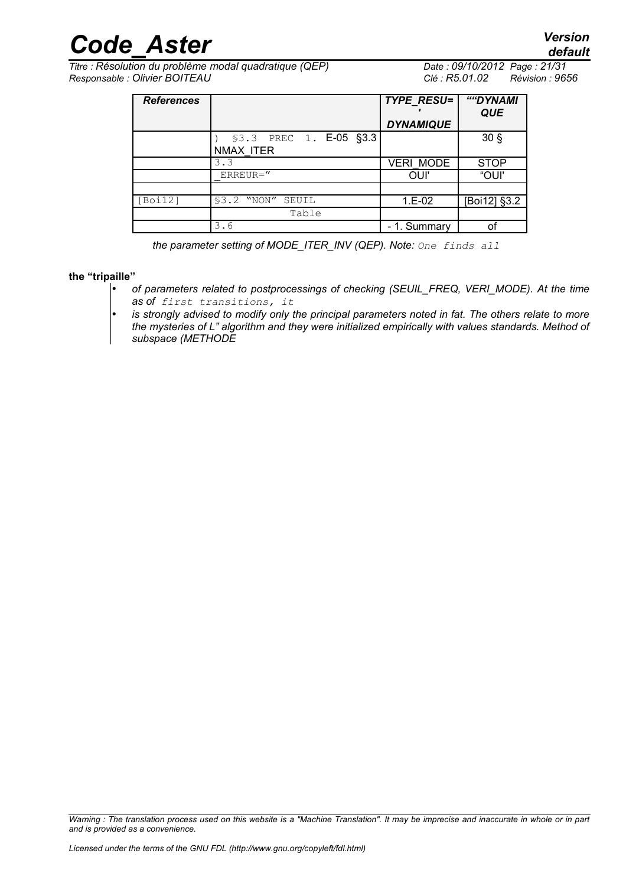*Titre : Résolution du problème modal quadratique (QEP) Date : 09/10/2012 Page : 21/31 Responsable : Olivier BOITEAU Clé : R5.01.02 Révision : 9656*

| <b>References</b> |                         | <b>TYPE RESU=</b> | ""DYNAMI<br><b>QUE</b> |
|-------------------|-------------------------|-------------------|------------------------|
|                   |                         | <b>DYNAMIQUE</b>  |                        |
|                   | \$3.3 PREC 1. E-05 §3.3 |                   | 30 <sub>5</sub>        |
|                   | NMAX ITER               |                   |                        |
|                   | 3.3                     | <b>VERI MODE</b>  | <b>STOP</b>            |
|                   | ERREUR="                | OUI'              | "OUI"                  |
|                   |                         |                   |                        |
| [Boi12]           | \$3.2 "NON"<br>SEUIL    | $1.E-02$          | [Boi12] §3.2           |
|                   | Table                   |                   |                        |
|                   | 3.6                     | - 1. Summary      | οf                     |

*the parameter setting of MODE\_ITER\_INV (QEP). Note: One finds all* 

**the "tripaille"**

- *of parameters related to postprocessings of checking (SEUIL\_FREQ, VERI\_MODE). At the time as of first transitions, it*
- *is strongly advised to modify only the principal parameters noted in fat. The others relate to more the mysteries of L" algorithm and they were initialized empirically with values standards. Method of subspace (METHODE*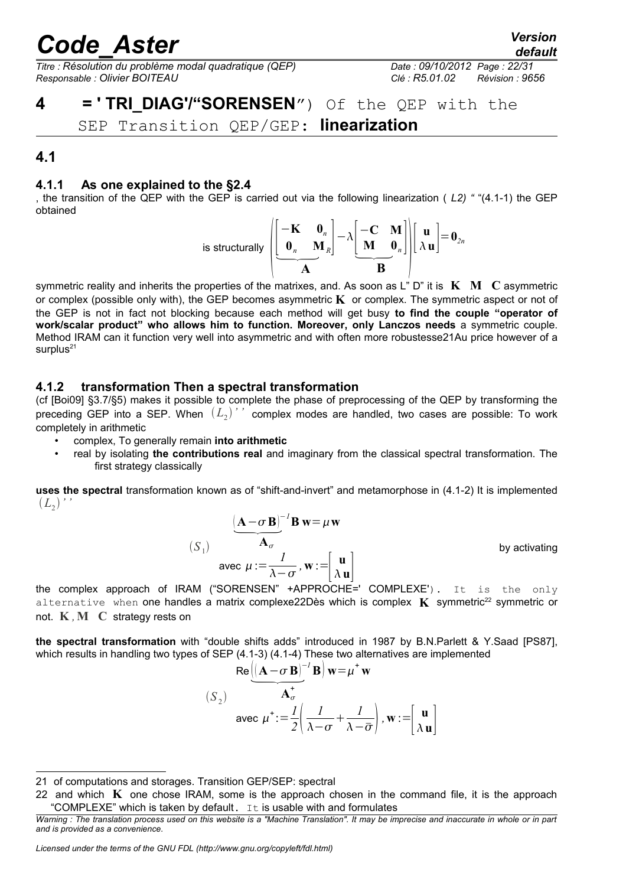*Titre : Résolution du problème modal quadratique (QEP) Date : 09/10/2012 Page : 22/31 Responsable : Olivier BOITEAU Clé : R5.01.02 Révision : 9656*

### **4 = ' TRI\_DIAG'/"SORENSEN**") Of the QEP with the

SEP Transition QEP/GEP: **linearization**

### **4.1**

#### **4.1.1 As one explained to the §2.4**

, the transition of the QEP with the GEP is carried out via the following linearization ( *L2) "* "(4.1-1) the GEP obtained

is structurally 
$$
\left[\begin{bmatrix} -\mathbf{K} & \mathbf{0}_n \\ \mathbf{0}_n & \mathbf{M}_n \end{bmatrix} - \lambda \begin{bmatrix} -\mathbf{C} & \mathbf{M} \\ \mathbf{M} & \mathbf{0}_n \end{bmatrix} \right] \left[\begin{bmatrix} \mathbf{u} \\ \lambda \mathbf{u} \end{bmatrix} = \mathbf{0}_{2n}
$$

symmetric reality and inherits the properties of the matrixes, and. As soon as L" D" it is **K M C** asymmetric or complex (possible only with), the GEP becomes asymmetric **K** or complex. The symmetric aspect or not of the GEP is not in fact not blocking because each method will get busy **to find the couple "operator of work/scalar product" who allows him to function. Moreover, only Lanczos needs** a symmetric couple. Method IRAM can it function very well into asymmetric and with often more robustesse21Au price however of a surplus $21$ 

#### **4.1.2 transformation Then a spectral transformation**

*S*<sup>1</sup>

(cf [Boi09] §3.7/§5) makes it possible to complete the phase of preprocessing of the QEP by transforming the preceding GEP into a SEP. When  $(L_2)$ '' complex modes are handled, two cases are possible: To work completely in arithmetic

- complex, To generally remain **into arithmetic**
- real by isolating **the contributions real** and imaginary from the classical spectral transformation. The first strategy classically

**uses the spectral** transformation known as of "shift-and-invert" and metamorphose in (4.1-2) It is implemented  $(L_{2})$ ''

$$
\frac{(\mathbf{A} - \sigma \mathbf{B})^{-1} \mathbf{B} \mathbf{w} = \mu \mathbf{w}}{\mathbf{A}_{\sigma}}
$$
  
 
$$
S_1)
$$
 
$$
\text{avec } \mu := \frac{I}{\lambda - \sigma}, \mathbf{w} := \begin{bmatrix} \mathbf{u} \\ \lambda \mathbf{u} \end{bmatrix}
$$

by activating

the complex approach of IRAM ("SORENSEN" +APPROCHE=' COMPLEXE'). It is the only alternative when one handles a matrix complexe[22](#page-21-1)Dès which is complex  $\bf{K}$  symmetric<sup>22</sup> symmetric or not. **K** *,***M C** strategy rests on

**the spectral transformation** with "double shifts adds" introduced in 1987 by B.N.Parlett & Y.Saad [PS87], which results in handling two types of SEP (4.1-3) (4.1-4) These two alternatives are implemented

"double shifts adds" introduced in 1987 by B.N.F  
\nIf SEP (4.1-3) (4.1-4) These two alternatives are im  
\n
$$
Re\left(\left[\mathbf{A} - \sigma \mathbf{B}\right]^{-1} \mathbf{B}\right) \mathbf{w} = \mu^+ \mathbf{w}
$$
\n(S<sub>2</sub>)  
\n
$$
Area \mu^+ := \frac{1}{2} \left(\frac{1}{\lambda - \sigma} + \frac{1}{\lambda - \overline{\sigma}}\right), \mathbf{w} := \begin{bmatrix} \mathbf{u} \\ \lambda \mathbf{u} \end{bmatrix}
$$

*Licensed under the terms of the GNU FDL (http://www.gnu.org/copyleft/fdl.html)*

*default*

<span id="page-21-0"></span><sup>21</sup> of computations and storages. Transition GEP/SEP: spectral

<span id="page-21-1"></span><sup>22</sup> and which **K** one chose IRAM, some is the approach chosen in the command file, it is the approach "COMPLEXE" which is taken by default.  $I<sub>t</sub>$  is usable with and formulates

*Warning : The translation process used on this website is a "Machine Translation". It may be imprecise and inaccurate in whole or in part and is provided as a convenience.*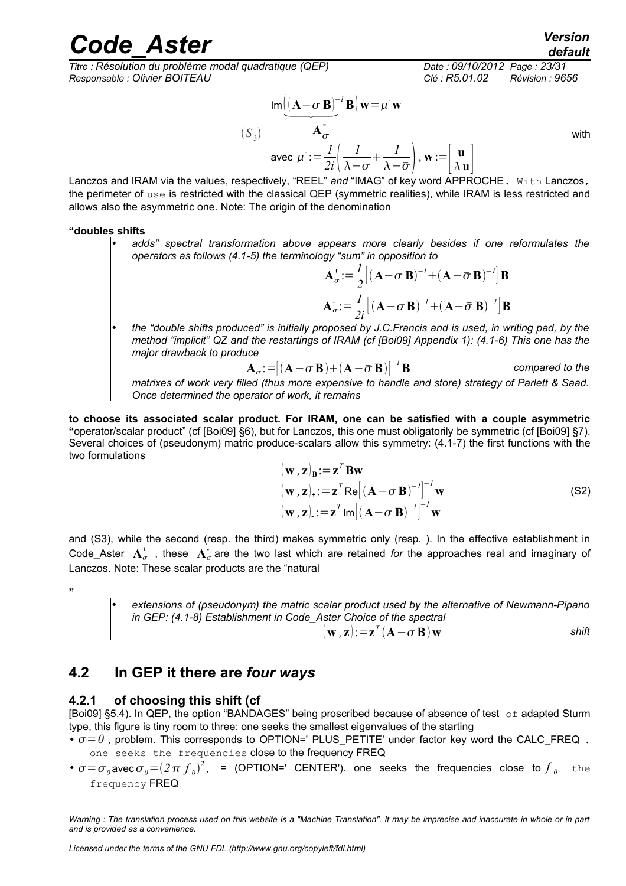*Titre : Résolution du problème modal quadratique (QEP) Date : 09/10/2012 Page : 23/31 Responsable : Olivier BOITEAU Clé : R5.01.02 Révision : 9656*

$$
\text{Cl\'e}: \text{R5.01.02} \qquad \text{Revision : 9656}
$$
\n
$$
\text{Im}\left(\left[\mathbf{A} - \sigma \mathbf{B}\right]^{-1} \mathbf{B}\right) \mathbf{w} = \mu^{\top} \mathbf{w}
$$
\n
$$
(S_3) \qquad \mathbf{A}_{\sigma}^{\top}
$$
\n
$$
\text{avec } \mu^{\top} := \frac{1}{2i} \left(\frac{1}{\lambda - \sigma} + \frac{1}{\lambda - \overline{\sigma}}\right), \mathbf{w} := \begin{bmatrix} \mathbf{u} \\ \lambda \mathbf{u} \end{bmatrix}
$$
\n
$$
\text{with } \mathbf{u} \in \mathbb{R} \text{ such that } \mathbf{u} \in \mathbb{R} \text{ such that } \mathbf{u} \in \mathbb{R} \text{ such that } \mathbf{u} \in \mathbb{R} \text{ such that } \mathbf{u} \in \mathbb{R} \text{ such that } \mathbf{u} \in \mathbb{R} \text{ such that } \mathbf{u} \in \mathbb{R} \text{ such that } \mathbf{u} \in \mathbb{R} \text{ such that } \mathbf{u} \in \mathbb{R} \text{ such that } \mathbf{u} \in \mathbb{R} \text{ such that } \mathbf{u} \in \mathbb{R} \text{ such that } \mathbf{u} \in \mathbb{R} \text{ such that } \mathbf{u} \in \mathbb{R} \text{ such that } \mathbf{u} \in \mathbb{R} \text{ such that } \mathbf{u} \in \mathbb{R} \text{ such that } \mathbf{u} \in \mathbb{R} \text{ such that } \mathbf{u} \in \mathbb{R} \text{ such that } \mathbf{u} \in \mathbb{R} \text{ such that } \mathbf{u} \in \mathbb{R} \text{ such that } \mathbf{u} \in \mathbb{R} \text{ such that } \mathbf{u} \in \mathbb{R} \text{ such that } \mathbf{u} \in \mathbb{R} \text{ such that } \mathbf{u} \in \mathbb{R} \text{ such that } \mathbf{u} \in \mathbb{R} \text{ such that } \mathbf{u} \in \mathbb{R} \text{ such that } \mathbf{u} \in \mathbb{R} \text{ such that } \mathbf{u} \
$$

Lanczos and IRAM via the values, respectively, "REEL" *and* "IMAG" of key word APPROCHE. With Lanczos, the perimeter of use is restricted with the classical QEP (symmetric realities), while IRAM is less restricted and allows also the asymmetric one. Note: The origin of the denomination

#### **"doubles shifts**

• *adds" spectral transformation above appears more clearly besides if one reformulates the operators as follows (4.1-5) the terminology "sum" in opposition to*

$$
\mathbf{A}_{\sigma}^{+} := \frac{1}{2} [(\mathbf{A} - \sigma \mathbf{B})^{-1} + (\mathbf{A} - \bar{\sigma} \mathbf{B})^{-1}] \mathbf{B}
$$

$$
\mathbf{A}_{\sigma}^{-} := \frac{1}{2i} [(\mathbf{A} - \sigma \mathbf{B})^{-1} + (\mathbf{A} - \bar{\sigma} \mathbf{B})^{-1}] \mathbf{B}
$$

• *the "double shifts produced" is initially proposed by J.C.Francis and is used, in writing pad, by the method "implicit" QZ and the restartings of IRAM (cf [Boi09] Appendix 1): (4.1-6) This one has the major drawback to produce*

$$
\mathbf{A}_{\sigma} \cdot = \left[ (\mathbf{A} - \sigma \, \mathbf{B}) + (\mathbf{A} - \bar{\sigma} \, \mathbf{B}) \right]^{-1} \mathbf{B}
$$
 compared to the

*matrixes of work very filled (thus more expensive to handle and store) strategy of Parlett & Saad. Once determined the operator of work, it remains*

**to choose its associated scalar product. For IRAM, one can be satisfied with a couple asymmetric "**operator/scalar product" (cf [Boi09] §6), but for Lanczos, this one must obligatorily be symmetric (cf [Boi09] §7). Several choices of (pseudonym) matric produce-scalars allow this symmetry: (4.1-7) the first functions with the two formulations

$$
(\mathbf{w}, \mathbf{z})_{\mathbf{B}} := \mathbf{z}^{T} \mathbf{B} \mathbf{w}
$$
  
\n
$$
(\mathbf{w}, \mathbf{z})_{+} := \mathbf{z}^{T} \mathbf{Re} [(\mathbf{A} - \sigma \mathbf{B})^{-1}]^{-1} \mathbf{w}
$$
  
\n
$$
(\mathbf{w}, \mathbf{z})_{-} := \mathbf{z}^{T} \mathbf{Im} [(\mathbf{A} - \sigma \mathbf{B})^{-1}]^{-1} \mathbf{w}
$$
\n(S2)

and (S3), while the second (resp. the third) makes symmetric only (resp. ). In the effective establishment in Code\_Aster  $A^{\dagger}_{\sigma}$  , these  $A^{\dagger}_{\sigma}$  are the two last which are retained *for* the approaches real and imaginary of Lanczos. Note: These scalar products are the "natural

**"**

• *extensions of (pseudonym) the matric scalar product used by the alternative of Newmann-Pipano in GEP: (4.1-8) Establishment in Code\_Aster Choice of the spectral*

$$
(\mathbf{w}, \mathbf{z})\! :=\! \mathbf{z}^T (\mathbf{A} \!-\! \sigma \mathbf{B}) \mathbf{w}
$$
 shift

### **4.2 In GEP it there are** *four ways*

#### **4.2.1 of choosing this shift (cf**

[Boi09] §5.4). In QEP, the option "BANDAGES" being proscribed because of absence of test of adapted Sturm type, this figure is tiny room to three: one seeks the smallest eigenvalues of the starting

- $\cdot \sigma = 0$ , problem. This corresponds to OPTION=' PLUS PETITE' under factor key word the CALC FREQ. one seeks the frequencies close to the frequency FREQ
- $\sigma = \sigma_o$  avec  $\sigma_o = (2\pi f_o)^2$ , = (OPTION=' CENTER'). one seeks the frequencies close to  $f_o$  the frequency FREQ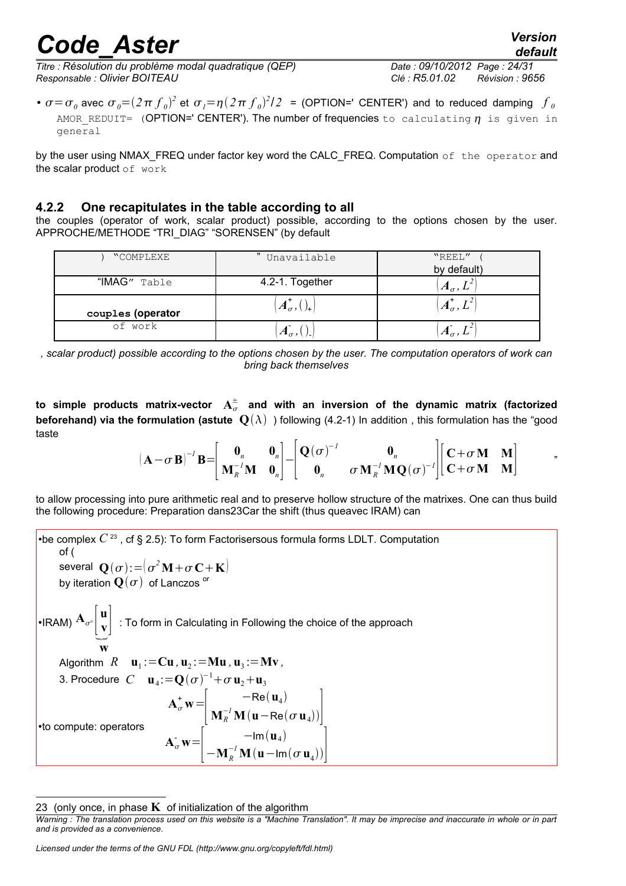*Titre : Résolution du problème modal quadratique (QEP) Date : 09/10/2012 Page : 24/31 Responsable : Olivier BOITEAU Clé : R5.01.02 Révision : 9656*

•  $\sigma = \sigma_o$  avec  $\sigma_o = (2\pi f_o)^2$  et  $\sigma_i = \eta(2\pi f_o)^2/2$  = (OPTION=' CENTER') and to reduced damping  $f_o$ AMOR REDUIT= (OPTION=' CENTER'). The number of frequencies to calculating  $\eta$  is given in general

by the user using NMAX\_FREQ under factor key word the CALC\_FREQ. Computation of the operator and the scalar product of work

#### **4.2.2 One recapitulates in the table according to all**

the couples (operator of work, scalar product) possible, according to the options chosen by the user. APPROCHE/METHODE "TRI\_DIAG" "SORENSEN" (by default

| "COMPLEXE         | " Unavailable    | "REEL"             |
|-------------------|------------------|--------------------|
|                   |                  | by default)        |
| "IMAG" Table      | 4.2-1. Together  | $A_{\sigma}$ , $L$ |
| couples (operator | $A_{\sigma}$ , ( | $A_{\sigma}$ ,     |
| of work           |                  |                    |

*, scalar product) possible according to the options chosen by the user. The computation operators of work can bring back themselves*

to simple products matrix-vector  $\mathbf{A}_{\sigma}^{\pm}$  and with an inversion of the dynamic matrix (factorized **beforehand) via the formulation (astute**  $Q(\lambda)$ **) following (4.2-1) In addition, this formulation has the "good"** taste

$$
(\mathbf{A} - \sigma \mathbf{B})^{-1} \mathbf{B} = \begin{bmatrix} \mathbf{0}_n & \mathbf{0}_n \\ \mathbf{M}_R^{-1} \mathbf{M} & \mathbf{0}_n \end{bmatrix} - \begin{bmatrix} \mathbf{Q}(\sigma)^{-1} & \mathbf{0}_n \\ \mathbf{0}_n & \sigma \mathbf{M}_R^{-1} \mathbf{M} \mathbf{Q}(\sigma)^{-1} \end{bmatrix} \begin{bmatrix} \mathbf{C} + \sigma \mathbf{M} & \mathbf{M} \\ \mathbf{C} + \sigma \mathbf{M} & \mathbf{M} \end{bmatrix}
$$

to allow processing into pure arithmetic real and to preserve hollow structure of the matrixes. One can thus build the following procedure: Preparation dans23Car the shift (thus queavec IRAM) can

•be complex  $C^{23}$  $C^{23}$  $C^{23}$ , cf § 2.5): To form Factorisersous formula forms LDLT. Computation of ( several  $\mathbf{Q}(\sigma)$ : $=$   $\sigma^2 \mathbf{M}$  +  $\sigma \mathbf{C}$  +  $\mathbf{K}$  $\mathbf{C}$ by iteration  $\mathbf{Q}(\sigma)$  of Lanczos<sup>or</sup>  $\bullet$ IRAM)  $\mathbf{A}_{\sigma^\pm}$   $\Big|\,$ **u**  $\begin{bmatrix} \mathbf{v} \end{bmatrix}$  : To form in Calculating in Following the choice of the approach **w** Algorithm  $R$   $\mathbf{u}_1 := \mathbf{C}\mathbf{u}$  ,  $\mathbf{u}_2 := \mathbf{M}\mathbf{u}$  ,  $\mathbf{u}_3 := \mathbf{M}\mathbf{v}$  , 3. Procedure  $C$  **u**<sub>4</sub>:= $\mathbf{Q}(\sigma)^{-1}$ + $\sigma$  **u**<sub>2</sub>+**u**<sub>3</sub> •to compute: operators  $A^+_\sigma \mathbf{w} =$  $\mid$   $\mid$  $-$ Re $(\mathbf{u}_4)$  $\mathbf{M}_R^{-1}\mathbf{M}(\mathbf{u}-\mathsf{Re}(\sigma\,\mathbf{u}_4))\Big|_{\mathbf{u}}$  $\overline{\mathbf{A}_{\sigma}}\mathbf{w}$  $\vert$  - $-\mathsf{Im}(\mathbf{u}_4)$  $-\mathbf{M}_R^{-1}\mathbf{M}(\mathbf{u}-\mathrm{Im}(\sigma\mathbf{u}_4))$ 

*Licensed under the terms of the GNU FDL (http://www.gnu.org/copyleft/fdl.html)*

<span id="page-23-0"></span><sup>23 (</sup>only once, in phase  $K$  of initialization of the algorithm

*Warning : The translation process used on this website is a "Machine Translation". It may be imprecise and inaccurate in whole or in part and is provided as a convenience.*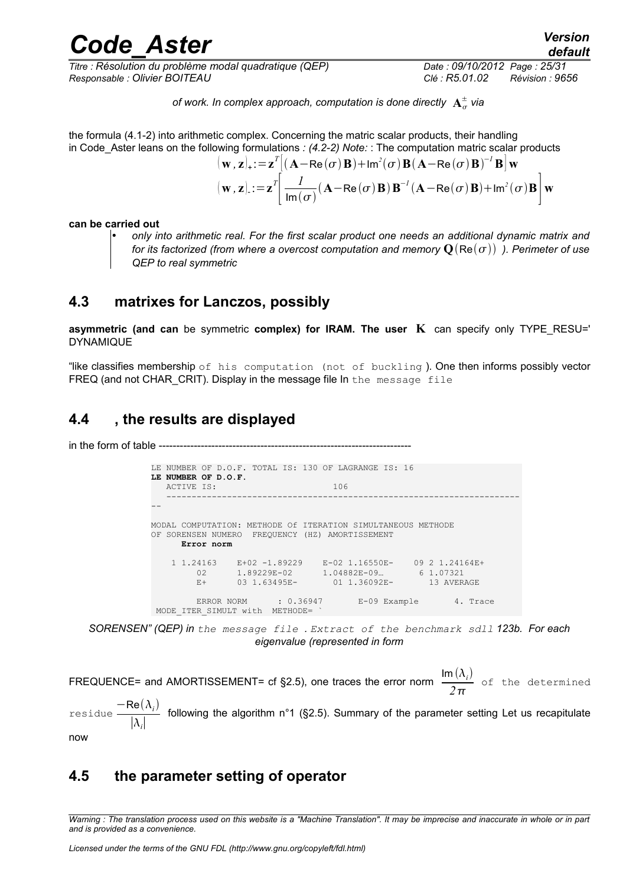*Titre : Résolution du problème modal quadratique (QEP) Date : 09/10/2012 Page : 25/31 Responsable : Olivier BOITEAU Clé : R5.01.02 Révision : 9656*

of work. In complex approach, computation is done directly  $\mathbf{A}^\pm_\sigma$  via

the formula (4.1-2) into arithmetic complex. Concerning the matric scalar products, their handling in Code\_Aster leans on the following formulations *: (4.2-2) Note:* : The computation matric scalar products  $T\left[ \right.$ 

$$
(\mathbf{w}, \mathbf{z})_{+} := \mathbf{z}^{T} [(\mathbf{A} - \mathbf{Re}(\sigma) \mathbf{B}) + \mathbf{Im}^{2}(\sigma) \mathbf{B} (\mathbf{A} - \mathbf{Re}(\sigma) \mathbf{B})^{-1} \mathbf{B}] \mathbf{w}
$$
  
\n
$$
(\mathbf{w}, \mathbf{z})_{-} := \mathbf{z}^{T} \bigg[ \frac{I}{\mathbf{Im}(\sigma)} (\mathbf{A} - \mathbf{Re}(\sigma) \mathbf{B}) \mathbf{B}^{-1} (\mathbf{A} - \mathbf{Re}(\sigma) \mathbf{B}) + \mathbf{Im}^{2}(\sigma) \mathbf{B} \bigg] \mathbf{w}
$$

**can be carried out**

• *only into arithmetic real. For the first scalar product one needs an additional dynamic matrix and for its factorized (from where a overcost computation and memory*  $Q(Re(\sigma))$ ). Perimeter of use *QEP to real symmetric*

### **4.3 matrixes for Lanczos, possibly**

**asymmetric (and can** be symmetric **complex) for IRAM. The user K** can specify only TYPE\_RESU=' DYNAMIQUE

"like classifies membership of his computation (not of buckling). One then informs possibly vector FREQ (and not CHAR CRIT). Display in the message file In the message file

### **4.4 , the results are displayed**

in the form of table -------

|     | LE NUMBER OF D.O.F. TOTAL IS: 130 OF LAGRANGE IS: 16<br>LE NUMBER OF D.O.F.<br>ACTIVE IS:                                  | 106                                                                                                                              |  |
|-----|----------------------------------------------------------------------------------------------------------------------------|----------------------------------------------------------------------------------------------------------------------------------|--|
|     |                                                                                                                            |                                                                                                                                  |  |
| OF. | MODAL COMPUTATION: METHODE Of ITERATION SIMULTANEOUS METHODE<br>SORENSEN NUMERO FREQUENCY (HZ) AMORTISSEMENT<br>Error norm |                                                                                                                                  |  |
|     | 1 1, 24163<br>02<br>$E +$                                                                                                  | $E+02$ -1.89229 $E-02$ 1.16550E- 09 2 1.24164E+<br>$1.89229E-02$ $1.04882E-09$ 6 1.07321<br>03 1.63495E- 01 1.36092E- 13 AVERAGE |  |
|     | ERROR NORM : 0.36947<br>MODE ITER SIMULT with METHODE=                                                                     | E-09 Example 4. Trace                                                                                                            |  |

*SORENSEN" (QEP) in the message file . Extract of the benchmark sdll 123b. For each eigenvalue (represented in form*

FREQUENCE= and AMORTISSEMENT= cf §2.5), one traces the error norm  $\frac{\text{Im}(\lambda_i)}{2}$  $\frac{\partial^2 U}{\partial \pi}$  of the determined  $residue \frac{-\text{Re}(\lambda_i)}{|\lambda_i|}$  $\frac{d}{dx}$  following the algorithm n°1 (§2.5). Summary of the parameter setting Let us recapitulate

#### now

### **4.5 the parameter setting of operator**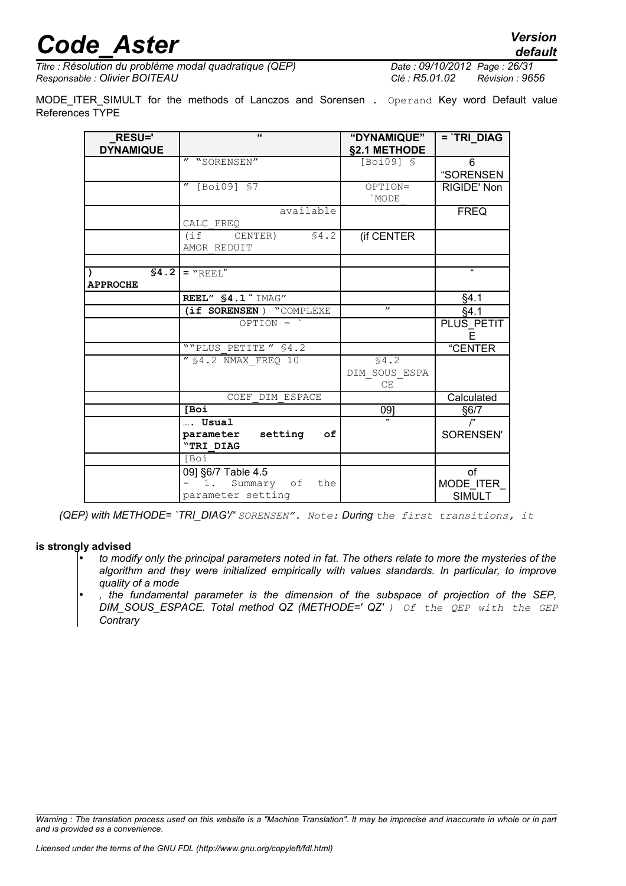*Titre : Résolution du problème modal quadratique (QEP) Date : 09/10/2012 Page : 26/31 Responsable : Olivier BOITEAU Clé : R5.01.02 Révision : 9656*

MODE\_ITER\_SIMULT for the methods of Lanczos and Sorensen . Operand Key word Default value References TYPE

| <b>RESU='</b><br><b>DYNAMIQUE</b> | $\epsilon$                                                         | "DYNAMIQUE"<br>§2.1 METHODE  | $=$ TRI_DIAG                      |
|-----------------------------------|--------------------------------------------------------------------|------------------------------|-----------------------------------|
|                                   | " "SORENSEN"                                                       | [Boi09] \$                   | 6<br>"SORENSEN                    |
|                                   | $''$ [Boi09] \$7                                                   | OPTION=<br>`MODE             | RIGIDE' Non                       |
|                                   | available<br>CALC FREO                                             |                              | <b>FREQ</b>                       |
|                                   | \$4.2<br>CENTER)<br>(i<br>AMOR REDUIT                              | (if CENTER                   |                                   |
|                                   |                                                                    |                              |                                   |
| <b>APPROCHE</b>                   | $$4.2$   = "REEL"                                                  |                              | $\epsilon$                        |
|                                   | REEL" \$4.1 " IMAG"                                                |                              | §4.1                              |
|                                   | (if SORENSEN) "COMPLEXE                                            | $^{\prime\prime}$            | §4.1                              |
|                                   | $OPTION =$                                                         |                              | PLUS_PETIT<br>F                   |
|                                   | ""PLUS PETITE" \$4.2                                               |                              | "CENTER                           |
|                                   | $\sqrt{54.2}$ NMAX FREQ 10                                         | \$4.2<br>DIM SOUS ESPA<br>CE |                                   |
|                                   | COEF DIM ESPACE                                                    |                              | Calculated                        |
|                                   | <b>IBoi</b>                                                        | 09]                          | §6/7                              |
|                                   | Usual<br>parameter<br>setting<br>оf<br>"TRI DIAG                   |                              | $^{\prime}$<br>SORENSEN'          |
|                                   | <b>S</b> Oi                                                        |                              |                                   |
|                                   | 09] §6/7 Table 4.5<br>Summary of<br>1.<br>the<br>parameter setting |                              | of<br>MODE_ITER_<br><b>SIMULT</b> |

*(QEP) with METHODE= `TRI\_DIAG'/" SORENSEN". Note: During the first transitions, it*

#### **is strongly advised**

- *to modify only the principal parameters noted in fat. The others relate to more the mysteries of the algorithm and they were initialized empirically with values standards. In particular, to improve quality of a mode*
- *, the fundamental parameter is the dimension of the subspace of projection of the SEP, DIM\_SOUS\_ESPACE. Total method QZ (METHODE=' QZ' ) Of the QEP with the GEP Contrary*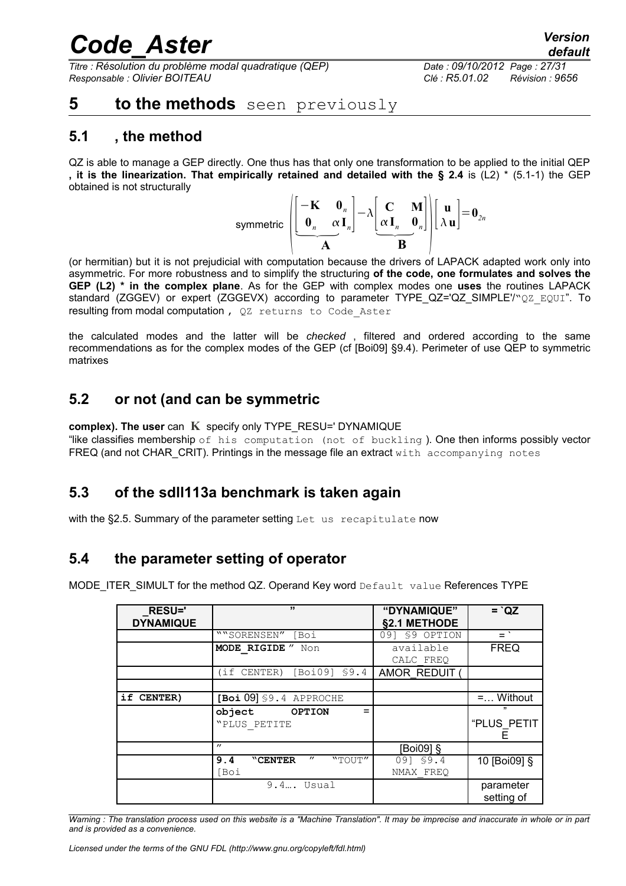*Titre : Résolution du problème modal quadratique (QEP) Date : 09/10/2012 Page : 27/31 Responsable : Olivier BOITEAU Clé : R5.01.02 Révision : 9656*

### **5 to the methods** seen previously

### **5.1 , the method**

QZ is able to manage a GEP directly. One thus has that only one transformation to be applied to the initial QEP **, it is the linearization. That empirically retained and detailed with the § 2.4** is (L2) \* (5.1-1) the GEP obtained is not structurally

symmetric 
$$
\left[\begin{array}{cc} -\mathbf{K} & \mathbf{0}_n \\ \mathbf{0}_n & \alpha \mathbf{I}_n \end{array}\right] - \lambda \begin{bmatrix} \mathbf{C} & \mathbf{M} \\ \alpha \mathbf{I}_n & \mathbf{0}_n \end{bmatrix} \begin{bmatrix} \mathbf{u} \\ \lambda \mathbf{u} \end{bmatrix} = \mathbf{0}_{2n}
$$

(or hermitian) but it is not prejudicial with computation because the drivers of LAPACK adapted work only into asymmetric. For more robustness and to simplify the structuring **of the code, one formulates and solves the GEP (L2) \* in the complex plane**. As for the GEP with complex modes one **uses** the routines LAPACK standard (ZGGEV) or expert (ZGGEVX) according to parameter TYPE QZ='QZ SIMPLE'/"QZ EQUI". To resulting from modal computation, QZ returns to Code Aster

the calculated modes and the latter will be *checked* , filtered and ordered according to the same recommendations as for the complex modes of the GEP (cf [Boi09] §9.4). Perimeter of use QEP to symmetric matrixes

### **5.2 or not (and can be symmetric**

**complex). The user** can **K** specify only TYPE\_RESU=' DYNAMIQUE

"like classifies membership of his computation (not of buckling). One then informs possibly vector FREQ (and not CHAR CRIT). Printings in the message file an extract with accompanying notes

### **5.3 of the sdll113a benchmark is taken again**

with the §2.5. Summary of the parameter setting Let us recapitulate now

### **5.4 the parameter setting of operator**

MODE\_ITER\_SIMULT for the method QZ. Operand Key word Default value References TYPE

| <b>RESU='</b>    | ,,                                            | "DYNAMIQUE"    | $=$ $QZ$                |
|------------------|-----------------------------------------------|----------------|-------------------------|
| <b>DYNAMIQUE</b> |                                               | §2.1 METHODE   |                         |
|                  | ""SORENSEN" [Boi                              | 091 \$9 OPTION | $=$ $\degree$           |
|                  | MODE RIGIDE " Non                             | available      | <b>FREQ</b>             |
|                  |                                               | CALC FREO      |                         |
|                  | [Boi09] \$9.4<br>(if CENTER)                  | AMOR REDUIT    |                         |
|                  |                                               |                |                         |
| if CENTER)       | $[Boi 09]$ \$9.4 APPROCHE                     |                | $=$ Without             |
|                  | object OPTION<br>"PLUS PETITE                 |                | ,,<br>"PLUS PETIT       |
|                  |                                               |                |                         |
|                  | $^{\prime\prime}$                             | [Boi09] §      |                         |
|                  | $^{\prime\prime}$<br>"TOUT"<br>9.4<br>"CENTER | 09] \$9.4      | 10 [Boi09] §            |
|                  | [Boi                                          | NMAX FREO      |                         |
|                  | $9.4$ Usual                                   |                | parameter<br>setting of |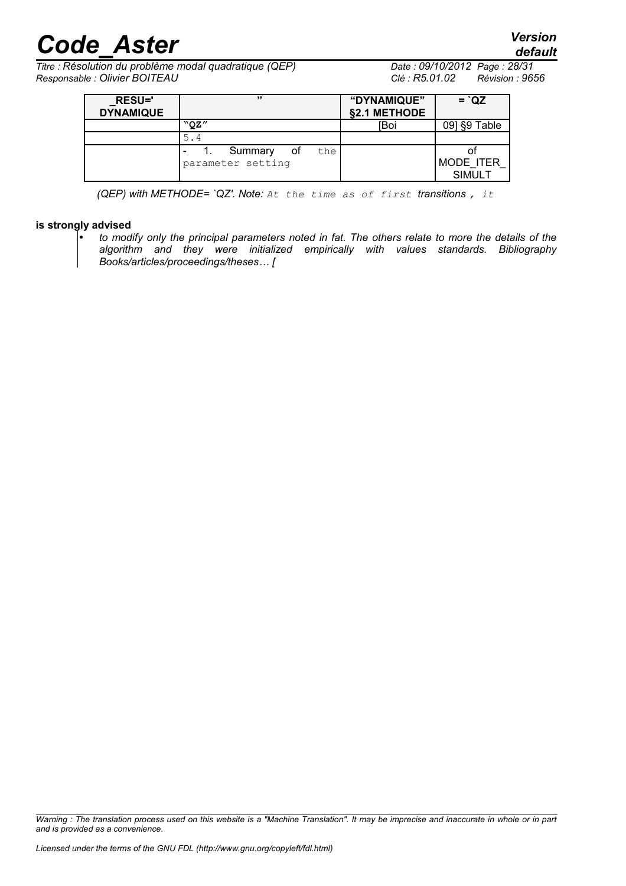*default*

*Titre : Résolution du problème modal quadratique (QEP) Date : 09/10/2012 Page : 28/31 Responsable : Olivier BOITEAU Clé : R5.01.02 Révision : 9656*

| <b>RESU='</b><br><b>DYNAMIQUE</b> | ,,,                                       | "DYNAMIQUE"<br>§2.1 METHODE | $=$ $QZ$                         |
|-----------------------------------|-------------------------------------------|-----------------------------|----------------------------------|
|                                   | "OZ"                                      | [Boi                        | 09] §9 Table                     |
|                                   | 5.4                                       |                             |                                  |
|                                   | Summary<br>the<br>of<br>parameter setting |                             | Οl<br>MODE ITER<br><b>SIMULT</b> |

*(QEP) with METHODE= `QZ'. Note: At the time as of first transitions , it*

#### **is strongly advised**

• *to modify only the principal parameters noted in fat. The others relate to more the details of the algorithm and they were initialized empirically with values standards. Bibliography Books/articles/proceedings/theses… [*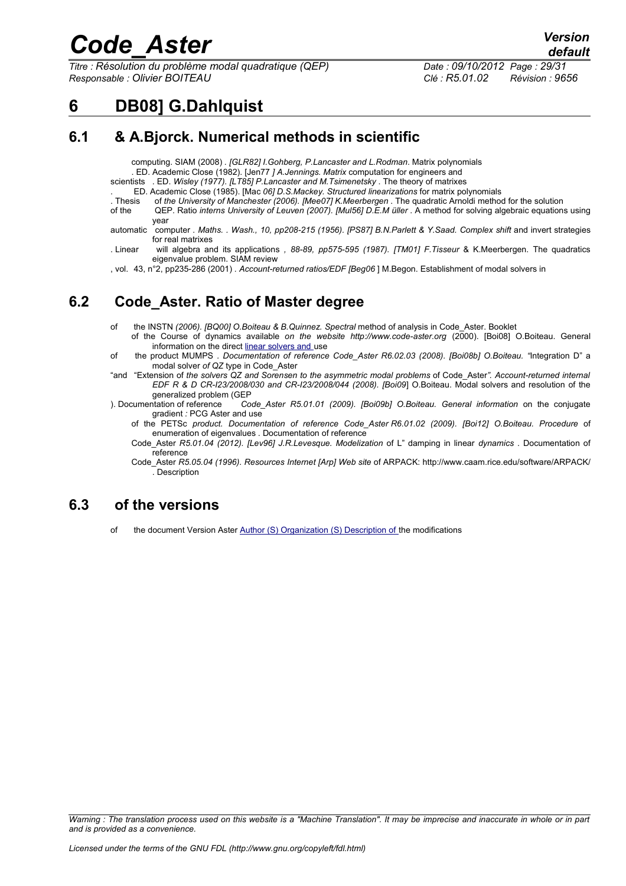*Titre : Résolution du problème modal quadratique (QEP) Date : 09/10/2012 Page : 29/31 Responsable : Olivier BOITEAU Clé : R5.01.02 Révision : 9656*

*default*

### **6 DB08] G.Dahlquist**

### **6.1 & A.Bjorck. Numerical methods in scientific**

computing. SIAM (2008) *. [GLR82] I.Gohberg, P.Lancaster and L.Rodman*. Matrix polynomials

. ED. Academic Close (1982). [Jen77 *] A.Jennings. Matrix* computation for engineers and

scientists . ED. *Wisley (1977). [LT85] P.Lancaster and M.Tsimenetsky* . The theory of matrixes

. ED. Academic Close (1985). [Mac *06] D.S.Mackey. Structured linearizations* for matrix polynomials

of the University of Manchester (2006). [Mee07] K.Meerbergen . The quadratic Arnoldi method for the solution of the QEP. Ratio *interns University of Leuven (2007). [Mul56] D.E.M üller* . A method for solving algebraic equations using

- year
- automatic computer *. Maths. . Wash., 10, pp208-215 (1956). [PS87] B.N.Parlett & Y.Saad. Complex shift* and invert strategies for real matrixes
- . Linear will algebra and its applications *, 88-89, pp575-595 (1987). [TM01] F.Tisseur* & K.Meerbergen. The quadratics eigenvalue problem. SIAM review

, vol. 43, n°2, pp235-286 (2001) *. Account-returned ratios/EDF [Beg06* ] M.Begon. Establishment of modal solvers in

### **6.2 Code\_Aster. Ratio of Master degree**

- of the INSTN *(2006). [BQ00] O.Boiteau & B.Quinnez. Spectral* method of analysis in Code\_Aster. Booklet
	- of the Course of dynamics available *on the website http://www.code-aster.org* (2000). [Boi08] O.Boiteau. General information on the direct [linear solvers and](http://www.code-aster.org/) use
- of the product MUMPS *. Documentation of reference Code\_Aster R6.02.03 (2008). [Boi08b] O.Boiteau. "*Integration D" a modal solver *of QZ* type in Code\_Aster
- "and "Extension of *the solvers QZ and Sorensen to the asymmetric modal problems* of Code\_Aster*". Account-returned internal EDF R & D CR-I23/2008/030 and CR-I23/2008/044 (2008). [Boi09*] O.Boiteau. Modal solvers and resolution of the
- generalized problem (GEP<br>2 Documentation of reference Co Code\_Aster R5.01.01 (2009). [Boi09b] O.Boiteau. General information on the conjugate gradient *:* PCG Aster and use
	- of the PETSc *product. Documentation of reference Code\_Aster R6.01.02 (2009). [Boi12] O.Boiteau. Procedure* of enumeration of eigenvalues . Documentation of reference
	- Code\_Aster *R5.01.04 (2012). [Lev96] J.R.Levesque. Modelization* of L" damping in linear *dynamics* . Documentation of reference
	- Code\_Aster *R5.05.04 (1996). Resources Internet [Arp] Web site* of ARPACK: http://www.caam.rice.edu/software/ARPACK/ . Description

### **6.3 of the versions**

of the document Version Aster [Author \(S\) Organization \(S\) Description of](http://www.caam.rice.edu/software/ARPACK/) the modifications

*Warning : The translation process used on this website is a "Machine Translation". It may be imprecise and inaccurate in whole or in part and is provided as a convenience.*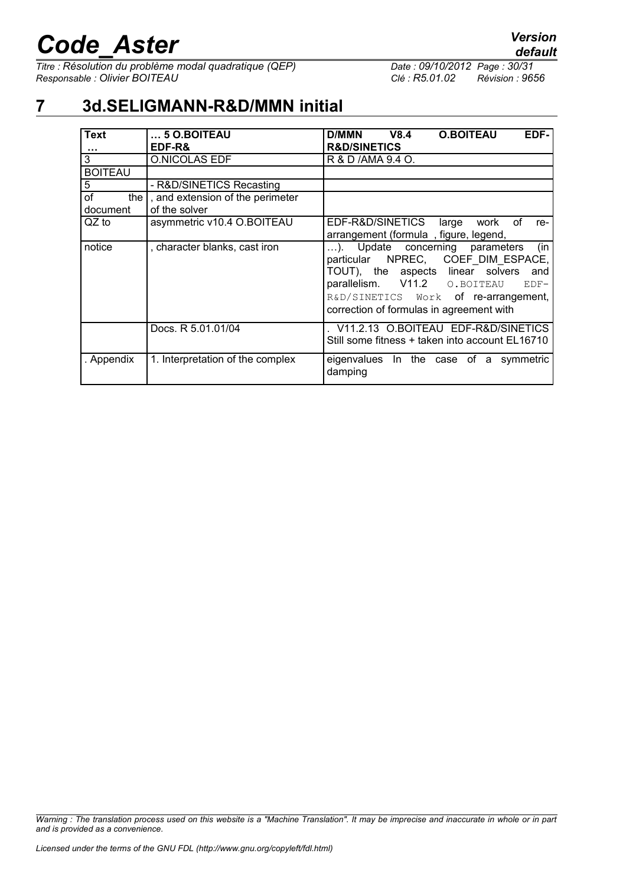*Titre : Résolution du problème modal quadratique (QEP) Date : 09/10/2012 Page : 30/31 Responsable : Olivier BOITEAU Clé : R5.01.02 Révision : 9656*

### **7 3d.SELIGMANN-R&D/MMN initial**

| <b>Text</b><br>$\cdots$       | $\dots$ 5 O.BOITEAU<br>EDF-R&                     | EDF-<br><b>D/MMN</b><br>V8.4<br><b>O.BOITEAU</b><br><b>R&amp;D/SINETICS</b>                                                                                                                                                                             |
|-------------------------------|---------------------------------------------------|---------------------------------------------------------------------------------------------------------------------------------------------------------------------------------------------------------------------------------------------------------|
| 3                             | <b>O.NICOLAS EDF</b>                              | R & D /AMA 9.4 O.                                                                                                                                                                                                                                       |
| <b>BOITEAU</b>                |                                                   |                                                                                                                                                                                                                                                         |
| 5                             | - R&D/SINETICS Recasting                          |                                                                                                                                                                                                                                                         |
| оf<br>the $\vert$<br>document | , and extension of the perimeter<br>of the solver |                                                                                                                                                                                                                                                         |
| QZ to                         | asymmetric v10.4 O.BOITEAU                        | EDF-R&D/SINETICS<br>large<br>work<br>of<br>re-<br>arrangement (formula, figure, legend,                                                                                                                                                                 |
| notice                        | , character blanks, cast iron                     | (in<br>). Update concerning parameters<br>particular NPREC, COEF_DIM_ESPACE,<br>TOUT), the aspects linear solvers<br>and<br>parallelism. V11.2 O. BOITEAU<br>$EDF-$<br>R&D/SINETICS Work of re-arrangement,<br>correction of formulas in agreement with |
|                               | Docs. R 5.01.01/04                                | V11.2.13 O.BOITEAU EDF-R&D/SINETICS<br>Still some fitness + taken into account EL16710                                                                                                                                                                  |
| . Appendix                    | 1. Interpretation of the complex                  | eigenvalues In the case<br>of a symmetric<br>damping                                                                                                                                                                                                    |